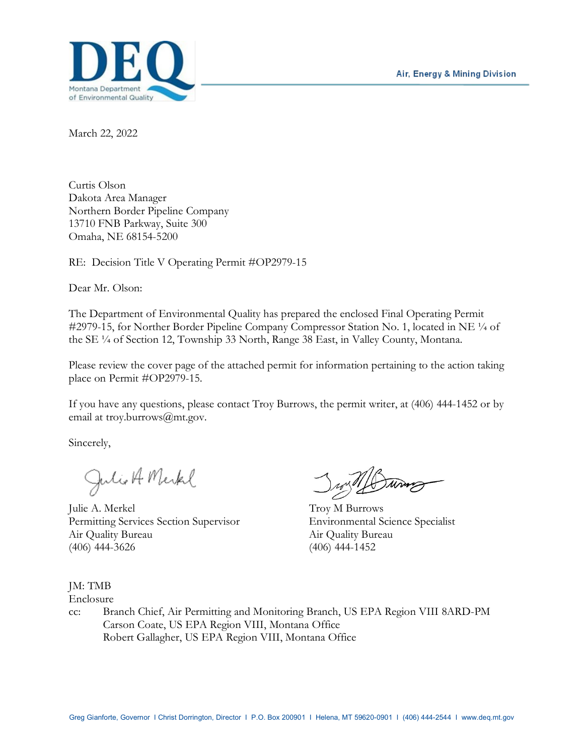

March 22, 2022

Curtis Olson Dakota Area Manager Northern Border Pipeline Company 13710 FNB Parkway, Suite 300 Omaha, NE 68154-5200

RE: Decision Title V Operating Permit #OP2979-15

Dear Mr. Olson:

The Department of Environmental Quality has prepared the enclosed Final Operating Permit #2979-15, for Norther Border Pipeline Company Compressor Station No. 1, located in NE  $\frac{1}{4}$  of the SE ¼ of Section 12, Township 33 North, Range 38 East, in Valley County, Montana.

Please review the cover page of the attached permit for information pertaining to the action taking place on Permit #OP2979-15.

If you have any questions, please contact Troy Burrows, the permit writer, at (406) 444-1452 or by email at troy.burrows@mt.gov.

Sincerely,

Julio A Merkel

Julie A. Merkel Troy M Burrows Permitting Services Section Supervisor Environmental Science Specialist Air Quality Bureau Air Quality Bureau (406) 444-3626 (406) 444-1452

#### JM: TMB

Enclosure

cc: Branch Chief, Air Permitting and Monitoring Branch, US EPA Region VIII 8ARD-PM Carson Coate, US EPA Region VIII, Montana Office Robert Gallagher, US EPA Region VIII, Montana Office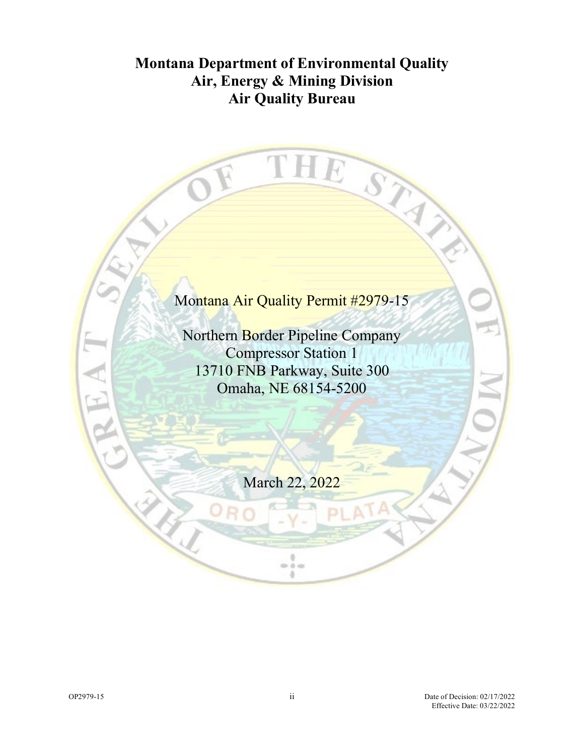# **Montana Department of Environmental Quality Air, Energy & Mining Division Air Quality Bureau**

TI

1

E

S

# Montana Air Quality Permit #2979-15

Northern Border Pipeline Company Compressor Station 1 13710 FNB Parkway, Suite 300 Omaha, NE 68154-5200

March 22, 2022

9  $0 - 0 = 0$ ä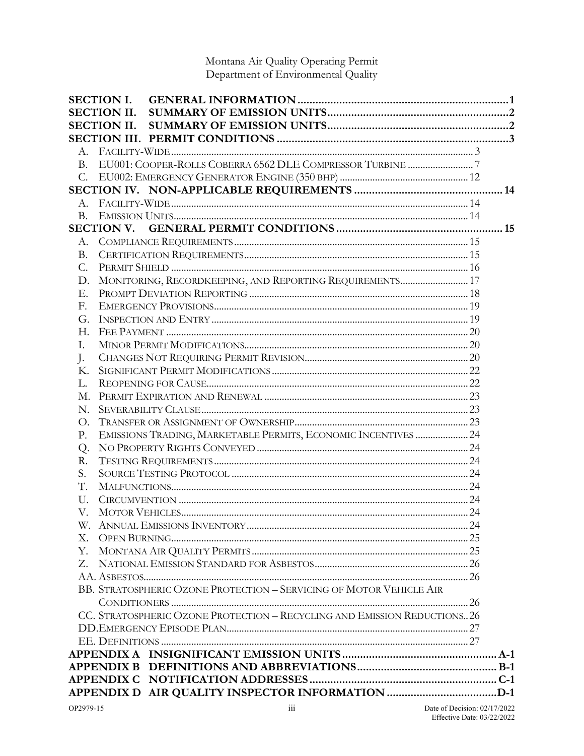# Montana Air Quality Operating Permit<br>Department of Environmental Quality

|             | <b>SECTION I.</b>                                                        |  |
|-------------|--------------------------------------------------------------------------|--|
|             | <b>SECTION II.</b>                                                       |  |
|             | <b>SECTION II.</b>                                                       |  |
|             |                                                                          |  |
|             |                                                                          |  |
| B.          |                                                                          |  |
| $C_{\cdot}$ |                                                                          |  |
|             |                                                                          |  |
|             |                                                                          |  |
| <b>B.</b>   |                                                                          |  |
|             |                                                                          |  |
|             |                                                                          |  |
| Β.          |                                                                          |  |
| C.          |                                                                          |  |
| D.          | MONITORING, RECORDKEEPING, AND REPORTING REQUIREMENTS 17                 |  |
| Ε.          |                                                                          |  |
| F.          |                                                                          |  |
| G.          |                                                                          |  |
| Н.          |                                                                          |  |
| I.          |                                                                          |  |
| J.          |                                                                          |  |
| Κ.          |                                                                          |  |
| L.          |                                                                          |  |
| М.          |                                                                          |  |
| N.          |                                                                          |  |
| О.          |                                                                          |  |
| Ρ.          | EMISSIONS TRADING, MARKETABLE PERMITS, ECONOMIC INCENTIVES  24           |  |
| Q.          |                                                                          |  |
| R.          |                                                                          |  |
| S.          |                                                                          |  |
| T.          |                                                                          |  |
| U.          |                                                                          |  |
| V.          |                                                                          |  |
|             |                                                                          |  |
| Χ.          |                                                                          |  |
| Υ.          |                                                                          |  |
| Z.          |                                                                          |  |
|             |                                                                          |  |
|             | BB. STRATOSPHERIC OZONE PROTECTION - SERVICING OF MOTOR VEHICLE AIR      |  |
|             |                                                                          |  |
|             | CC. STRATOSPHERIC OZONE PROTECTION - RECYCLING AND EMISSION REDUCTIONS26 |  |
|             |                                                                          |  |
|             |                                                                          |  |
|             |                                                                          |  |
|             |                                                                          |  |
|             |                                                                          |  |
|             |                                                                          |  |
|             |                                                                          |  |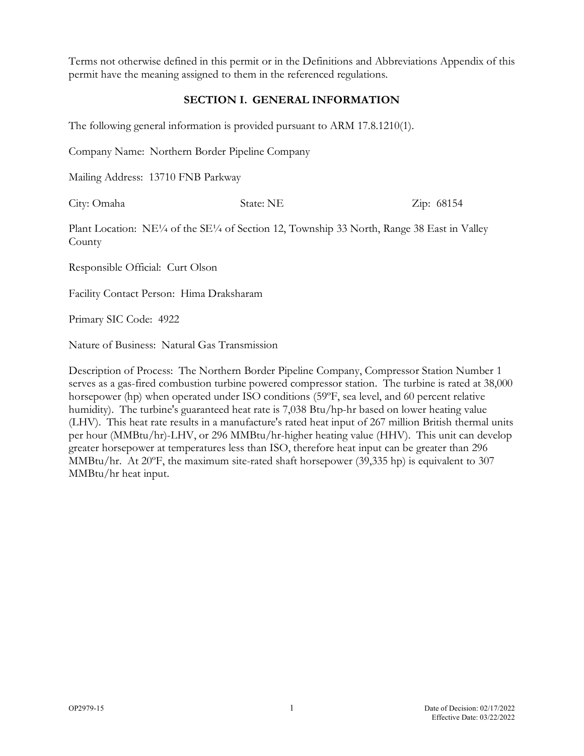Terms not otherwise defined in this permit or in the Definitions and Abbreviations Appendix of this permit have the meaning assigned to them in the referenced regulations.

#### **SECTION I. GENERAL INFORMATION**

The following general information is provided pursuant to ARM 17.8.1210(1).

Company Name: Northern Border Pipeline Company

Mailing Address: 13710 FNB Parkway

City: Omaha State: NE Zip: 68154

Plant Location: NE¼ of the SE¼ of Section 12, Township 33 North, Range 38 East in Valley County

Responsible Official: Curt Olson

Facility Contact Person: Hima Draksharam

Primary SIC Code: 4922

Nature of Business: Natural Gas Transmission

Description of Process: The Northern Border Pipeline Company, Compressor Station Number 1 serves as a gas-fired combustion turbine powered compressor station. The turbine is rated at 38,000 horsepower (hp) when operated under ISO conditions (59ºF, sea level, and 60 percent relative humidity). The turbine's guaranteed heat rate is 7,038 Btu/hp-hr based on lower heating value (LHV). This heat rate results in a manufacture's rated heat input of 267 million British thermal units per hour (MMBtu/hr)-LHV, or 296 MMBtu/hr-higher heating value (HHV). This unit can develop greater horsepower at temperatures less than ISO, therefore heat input can be greater than 296 MMBtu/hr. At 20ºF, the maximum site-rated shaft horsepower (39,335 hp) is equivalent to 307 MMBtu/hr heat input.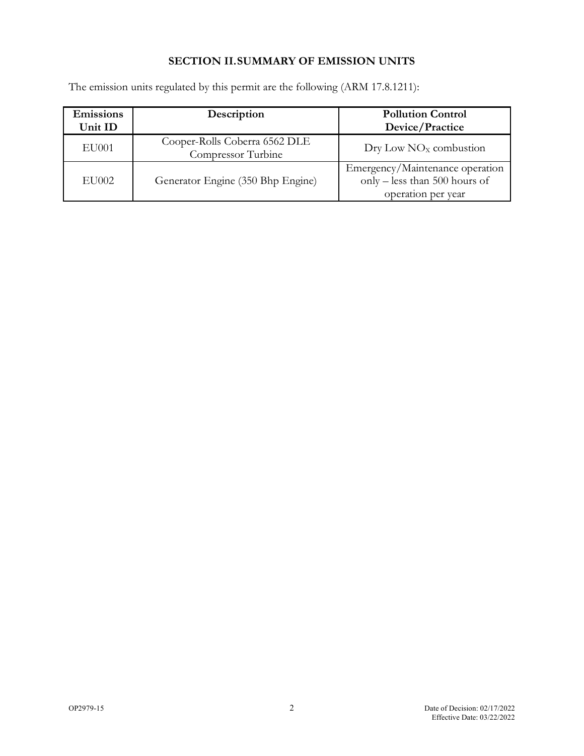# **SECTION II.SUMMARY OF EMISSION UNITS**

| Emissions<br>Unit ID | Description                                         | <b>Pollution Control</b><br>Device/Practice                                            |
|----------------------|-----------------------------------------------------|----------------------------------------------------------------------------------------|
| <b>EU001</b>         | Cooper-Rolls Coberra 6562 DLE<br>Compressor Turbine | $\text{Dry}$ Low NO <sub>x</sub> combustion                                            |
| <b>EU002</b>         | Generator Engine (350 Bhp Engine)                   | Emergency/Maintenance operation<br>only - less than 500 hours of<br>operation per year |

The emission units regulated by this permit are the following (ARM 17.8.1211):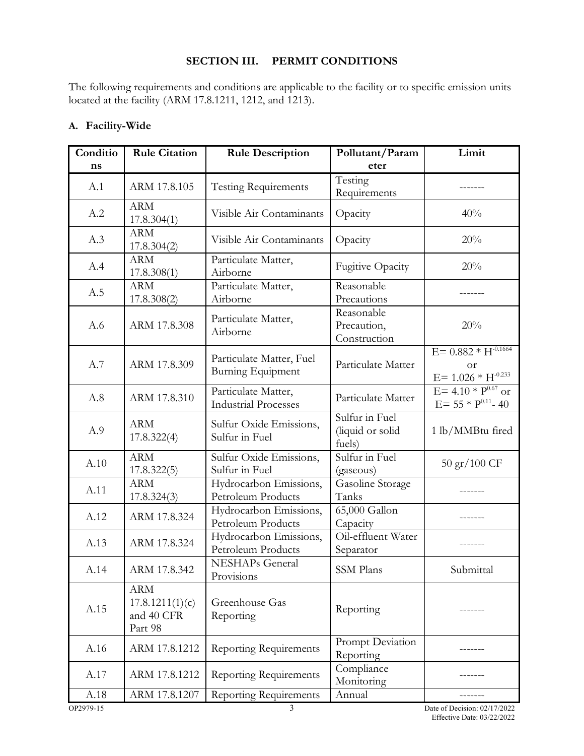#### **SECTION III. PERMIT CONDITIONS**

The following requirements and conditions are applicable to the facility or to specific emission units located at the facility (ARM 17.8.1211, 1212, and 1213).

| Conditio<br>ns | <b>Rule Citation</b>                                   | <b>Rule Description</b>                              | Pollutant/Param<br>eter                      | Limit                                                              |
|----------------|--------------------------------------------------------|------------------------------------------------------|----------------------------------------------|--------------------------------------------------------------------|
| A.1            | ARM 17.8.105                                           | <b>Testing Requirements</b>                          | Testing<br>Requirements                      |                                                                    |
| A.2            | <b>ARM</b><br>17.8.304(1)                              | Visible Air Contaminants                             | Opacity                                      | 40%                                                                |
| A.3            | <b>ARM</b><br>17.8.304(2)                              | Visible Air Contaminants                             | Opacity                                      | 20%                                                                |
| A.4            | <b>ARM</b><br>17.8.308(1)                              | Particulate Matter,<br>Airborne                      | <b>Fugitive Opacity</b>                      | 20%                                                                |
| A.5            | <b>ARM</b><br>17.8.308(2)                              | Particulate Matter,<br>Airborne                      | Reasonable<br>Precautions                    |                                                                    |
| A.6            | ARM 17.8.308                                           | Particulate Matter,<br>Airborne                      | Reasonable<br>Precaution,<br>Construction    | 20%                                                                |
| A.7            | ARM 17.8.309                                           | Particulate Matter, Fuel<br><b>Burning Equipment</b> | Particulate Matter                           | $E = 0.882 * H^{-0.1664}$<br><b>or</b><br>$E = 1.026 * H^{-0.233}$ |
| A.8            | ARM 17.8.310                                           | Particulate Matter,<br><b>Industrial Processes</b>   | Particulate Matter                           | $E = 4.10 * P^{0.67}$ or<br>$E = 55 * P^{0.11} - 40$               |
| A.9            | <b>ARM</b><br>17.8.322(4)                              | Sulfur Oxide Emissions,<br>Sulfur in Fuel            | Sulfur in Fuel<br>(liquid or solid<br>fuels) | 1 lb/MMBtu fired                                                   |
| A.10           | <b>ARM</b><br>17.8.322(5)                              | Sulfur Oxide Emissions,<br>Sulfur in Fuel            | Sulfur in Fuel<br>(gaseous)                  | $50 \frac{\text{gr}}{100}$ CF                                      |
| A.11           | <b>ARM</b><br>17.8.324(3)                              | Hydrocarbon Emissions,<br>Petroleum Products         | Gasoline Storage<br>Tanks                    |                                                                    |
| A.12           | ARM 17.8.324                                           | Hydrocarbon Emissions,<br>Petroleum Products         | 65,000 Gallon<br>Capacity                    |                                                                    |
| A.13           | ARM 17.8.324                                           | Hydrocarbon Emissions,<br>Petroleum Products         | Oil-effluent Water<br>Separator              |                                                                    |
| A.14           | ARM 17.8.342                                           | <b>NESHAPs</b> General<br>Provisions                 | SSM Plans                                    | Submittal                                                          |
| A.15           | <b>ARM</b><br>17.8.1211(1)(c)<br>and 40 CFR<br>Part 98 | Greenhouse Gas<br>Reporting                          | Reporting                                    |                                                                    |
| A.16           | ARM 17.8.1212                                          | <b>Reporting Requirements</b>                        | Prompt Deviation<br>Reporting                |                                                                    |
| A.17           | ARM 17.8.1212                                          | <b>Reporting Requirements</b>                        | Compliance<br>Monitoring                     |                                                                    |
| A.18           | ARM 17.8.1207                                          | <b>Reporting Requirements</b>                        | Annual                                       |                                                                    |

# **A. Facility-Wide**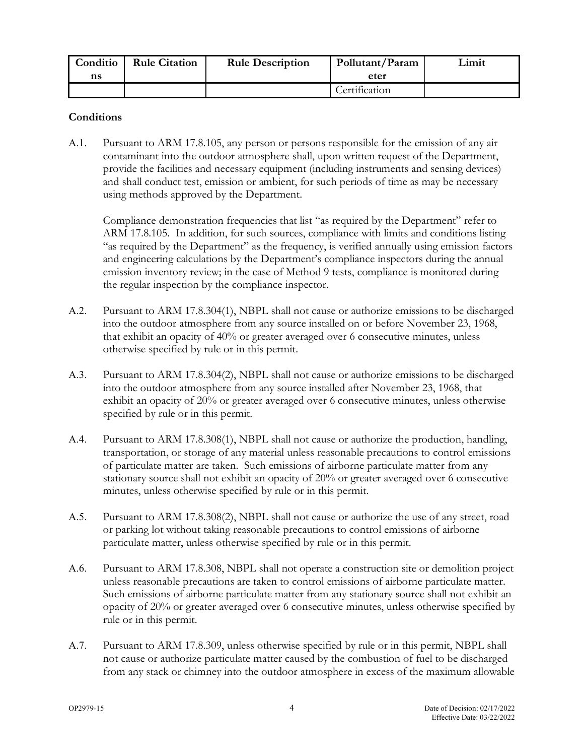| <b>Conditio</b> | <b>Rule Citation</b> | <b>Rule Description</b> | Pollutant/Param | Limit |
|-----------------|----------------------|-------------------------|-----------------|-------|
| ns              |                      |                         | eter            |       |
|                 |                      |                         | Certification   |       |

#### **Conditions**

<span id="page-6-0"></span>A.1. Pursuant to ARM 17.8.105, any person or persons responsible for the emission of any air contaminant into the outdoor atmosphere shall, upon written request of the Department, provide the facilities and necessary equipment (including instruments and sensing devices) and shall conduct test, emission or ambient, for such periods of time as may be necessary using methods approved by the Department.

Compliance demonstration frequencies that list "as required by the Department" refer to ARM 17.8.105. In addition, for such sources, compliance with limits and conditions listing "as required by the Department" as the frequency, is verified annually using emission factors and engineering calculations by the Department's compliance inspectors during the annual emission inventory review; in the case of Method 9 tests, compliance is monitored during the regular inspection by the compliance inspector.

- <span id="page-6-1"></span>A.2. Pursuant to ARM 17.8.304(1), NBPL shall not cause or authorize emissions to be discharged into the outdoor atmosphere from any source installed on or before November 23, 1968, that exhibit an opacity of 40% or greater averaged over 6 consecutive minutes, unless otherwise specified by rule or in this permit.
- <span id="page-6-2"></span>A.3. Pursuant to ARM 17.8.304(2), NBPL shall not cause or authorize emissions to be discharged into the outdoor atmosphere from any source installed after November 23, 1968, that exhibit an opacity of 20% or greater averaged over 6 consecutive minutes, unless otherwise specified by rule or in this permit.
- <span id="page-6-3"></span>A.4. Pursuant to ARM 17.8.308(1), NBPL shall not cause or authorize the production, handling, transportation, or storage of any material unless reasonable precautions to control emissions of particulate matter are taken. Such emissions of airborne particulate matter from any stationary source shall not exhibit an opacity of 20% or greater averaged over 6 consecutive minutes, unless otherwise specified by rule or in this permit.
- <span id="page-6-4"></span>A.5. Pursuant to ARM 17.8.308(2), NBPL shall not cause or authorize the use of any street, road or parking lot without taking reasonable precautions to control emissions of airborne particulate matter, unless otherwise specified by rule or in this permit.
- <span id="page-6-5"></span>A.6. Pursuant to ARM 17.8.308, NBPL shall not operate a construction site or demolition project unless reasonable precautions are taken to control emissions of airborne particulate matter. Such emissions of airborne particulate matter from any stationary source shall not exhibit an opacity of 20% or greater averaged over 6 consecutive minutes, unless otherwise specified by rule or in this permit.
- <span id="page-6-6"></span>A.7. Pursuant to ARM 17.8.309, unless otherwise specified by rule or in this permit, NBPL shall not cause or authorize particulate matter caused by the combustion of fuel to be discharged from any stack or chimney into the outdoor atmosphere in excess of the maximum allowable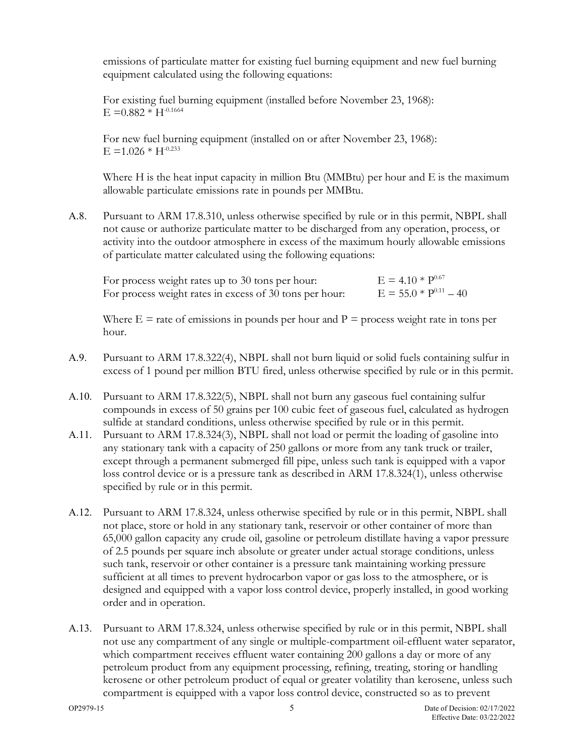emissions of particulate matter for existing fuel burning equipment and new fuel burning equipment calculated using the following equations:

For existing fuel burning equipment (installed before November 23, 1968):  $E = 0.882 * H^{-0.1664}$ 

For new fuel burning equipment (installed on or after November 23, 1968):  $E = 1.026 * H^{-0.233}$ 

Where H is the heat input capacity in million Btu (MMBtu) per hour and E is the maximum allowable particulate emissions rate in pounds per MMBtu.

<span id="page-7-0"></span>A.8. Pursuant to ARM 17.8.310, unless otherwise specified by rule or in this permit, NBPL shall not cause or authorize particulate matter to be discharged from any operation, process, or activity into the outdoor atmosphere in excess of the maximum hourly allowable emissions of particulate matter calculated using the following equations:

| For process weight rates up to 30 tons per hour:        | $E = 4.10 * P^{0.67}$      |
|---------------------------------------------------------|----------------------------|
| For process weight rates in excess of 30 tons per hour: | $E = 55.0 * P^{0.11} - 40$ |

Where  $E =$  rate of emissions in pounds per hour and  $P =$  process weight rate in tons per hour.

- <span id="page-7-1"></span>A.9. Pursuant to ARM 17.8.322(4), NBPL shall not burn liquid or solid fuels containing sulfur in excess of 1 pound per million BTU fired, unless otherwise specified by rule or in this permit.
- <span id="page-7-2"></span>A.10. Pursuant to ARM 17.8.322(5), NBPL shall not burn any gaseous fuel containing sulfur compounds in excess of 50 grains per 100 cubic feet of gaseous fuel, calculated as hydrogen sulfide at standard conditions, unless otherwise specified by rule or in this permit.
- <span id="page-7-3"></span>A.11. Pursuant to ARM 17.8.324(3), NBPL shall not load or permit the loading of gasoline into any stationary tank with a capacity of 250 gallons or more from any tank truck or trailer, except through a permanent submerged fill pipe, unless such tank is equipped with a vapor loss control device or is a pressure tank as described in ARM 17.8.324(1), unless otherwise specified by rule or in this permit.
- <span id="page-7-4"></span>A.12. Pursuant to ARM 17.8.324, unless otherwise specified by rule or in this permit, NBPL shall not place, store or hold in any stationary tank, reservoir or other container of more than 65,000 gallon capacity any crude oil, gasoline or petroleum distillate having a vapor pressure of 2.5 pounds per square inch absolute or greater under actual storage conditions, unless such tank, reservoir or other container is a pressure tank maintaining working pressure sufficient at all times to prevent hydrocarbon vapor or gas loss to the atmosphere, or is designed and equipped with a vapor loss control device, properly installed, in good working order and in operation.
- <span id="page-7-5"></span>A.13. Pursuant to ARM 17.8.324, unless otherwise specified by rule or in this permit, NBPL shall not use any compartment of any single or multiple-compartment oil-effluent water separator, which compartment receives effluent water containing 200 gallons a day or more of any petroleum product from any equipment processing, refining, treating, storing or handling kerosene or other petroleum product of equal or greater volatility than kerosene, unless such compartment is equipped with a vapor loss control device, constructed so as to prevent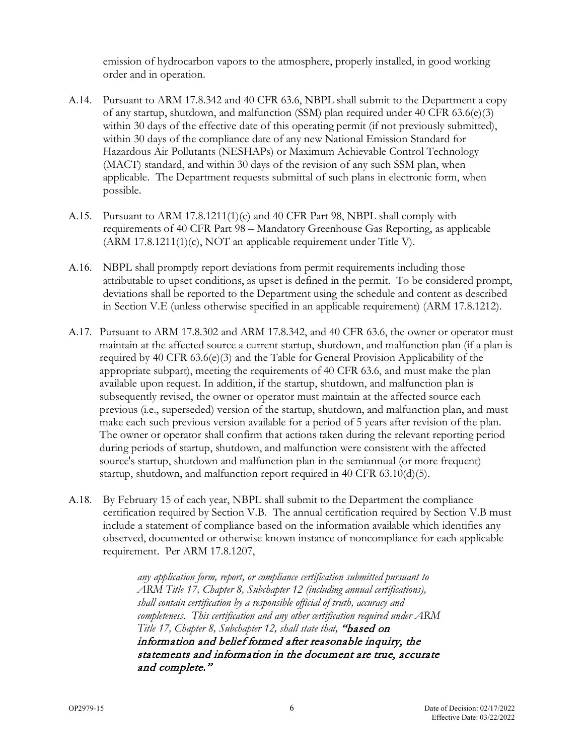emission of hydrocarbon vapors to the atmosphere, properly installed, in good working order and in operation.

- <span id="page-8-0"></span>A.14. Pursuant to ARM 17.8.342 and 40 CFR 63.6, NBPL shall submit to the Department a copy of any startup, shutdown, and malfunction (SSM) plan required under 40 CFR  $63.6(e)(3)$ within 30 days of the effective date of this operating permit (if not previously submitted), within 30 days of the compliance date of any new National Emission Standard for Hazardous Air Pollutants (NESHAPs) or Maximum Achievable Control Technology (MACT) standard, and within 30 days of the revision of any such SSM plan, when applicable. The Department requests submittal of such plans in electronic form, when possible.
- <span id="page-8-1"></span>A.15. Pursuant to ARM 17.8.1211(1)(c) and 40 CFR Part 98, NBPL shall comply with requirements of 40 CFR Part 98 – Mandatory Greenhouse Gas Reporting, as applicable (ARM 17.8.1211(1)(c), NOT an applicable requirement under Title V).
- <span id="page-8-2"></span>A.16. NBPL shall promptly report deviations from permit requirements including those attributable to upset conditions, as upset is defined in the permit. To be considered prompt, deviations shall be reported to the Department using the schedule and content as described in Section V[.E](#page-20-0) (unless otherwise specified in an applicable requirement) (ARM 17.8.1212).
- A.17. Pursuant to ARM 17.8.302 and ARM 17.8.342, and 40 CFR 63.6, the owner or operator must maintain at the affected source a current startup, shutdown, and malfunction plan (if a plan is required by 40 CFR  $(3.6(e)(3)$  and the Table for General Provision Applicability of the appropriate subpart), meeting the requirements of 40 CFR 63.6, and must make the plan available upon request. In addition, if the startup, shutdown, and malfunction plan is subsequently revised, the owner or operator must maintain at the affected source each previous (i.e., superseded) version of the startup, shutdown, and malfunction plan, and must make each such previous version available for a period of 5 years after revision of the plan. The owner or operator shall confirm that actions taken during the relevant reporting period during periods of startup, shutdown, and malfunction were consistent with the affected source's startup, shutdown and malfunction plan in the semiannual (or more frequent) startup, shutdown, and malfunction report required in 40 CFR 63.10(d)(5).
- <span id="page-8-3"></span>A.18. By February 15 of each year, NBPL shall submit to the Department the compliance certification required by Section V[.B.](#page-17-0) The annual certification required by Section V[.B](#page-17-0) must include a statement of compliance based on the information available which identifies any observed, documented or otherwise known instance of noncompliance for each applicable requirement. Per ARM 17.8.1207,

*any application form, report, or compliance certification submitted pursuant to ARM Title 17, Chapter 8, Subchapter 12 (including annual certifications), shall contain certification by a responsible official of truth, accuracy and completeness. This certification and any other certification required under ARM Title 17, Chapter 8, Subchapter 12, shall state that,* "based on information and belief formed after reasonable inquiry, the statements and information in the document are true, accurate and complete."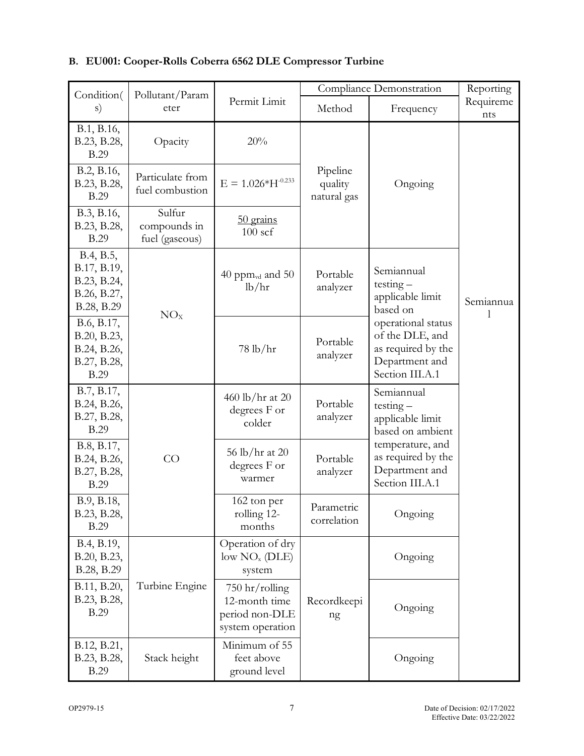| Condition(                                                             | Pollutant/Param                          |                                                                         | Compliance Demonstration           |                                                                                                  | Reporting        |
|------------------------------------------------------------------------|------------------------------------------|-------------------------------------------------------------------------|------------------------------------|--------------------------------------------------------------------------------------------------|------------------|
| s)                                                                     | eter                                     | Permit Limit                                                            | Method                             | Frequency                                                                                        | Requireme<br>nts |
| B.1, B.16,<br>B.23, B.28,<br><b>B.29</b>                               | Opacity                                  | 20%                                                                     |                                    |                                                                                                  |                  |
| B.2, B.16,<br>B.23, B.28,<br><b>B.29</b>                               | Particulate from<br>fuel combustion      | $E = 1.026*H^{-0.233}$                                                  | Pipeline<br>quality<br>natural gas | Ongoing                                                                                          |                  |
| B.3, B.16,<br>B.23, B.28,<br><b>B.29</b>                               | Sulfur<br>compounds in<br>fuel (gaseous) | 50 grains<br>$100$ scf                                                  |                                    |                                                                                                  |                  |
| B.4, B.5,<br>B.17, B.19,<br>B.23, B.24,<br>B.26, B.27,<br>B.28, B.29   | NO <sub>x</sub>                          | 40 ppm $_{\text{vd}}$ and 50<br>lb/hr                                   | Portable<br>analyzer               | Semiannual<br>$testing -$<br>applicable limit<br>based on                                        | Semiannua        |
| B.6, B.17,<br>B.20, B.23,<br>B.24, B.26,<br>B.27, B.28,<br><b>B.29</b> |                                          | $78 \text{ lb/hr}$                                                      | Portable<br>analyzer               | operational status<br>of the DLE, and<br>as required by the<br>Department and<br>Section III.A.1 |                  |
| B.7, B.17,<br>B.24, B.26,<br>B.27, B.28,<br><b>B.29</b>                |                                          | 460 lb/hr at 20<br>degrees F or<br>colder                               | Portable<br>analyzer               | Semiannual<br>$testing -$<br>applicable limit<br>based on ambient                                |                  |
| B.8, B.17,<br>B.24, B.26,<br>B.27, B.28,<br><b>B.29</b>                | CO                                       | 56 lb/hr at 20<br>degrees F or<br>warmer                                | Portable<br>analyzer               | temperature, and<br>as required by the<br>Department and<br>Section III.A.1                      |                  |
| B.9, B.18,<br>B.23, B.28,<br><b>B.29</b>                               |                                          | 162 ton per<br>rolling 12-<br>months                                    | Parametric<br>correlation          | Ongoing                                                                                          |                  |
| B.4, B.19,<br>B.20, B.23,<br>B.28, B.29                                |                                          | Operation of dry<br>low NO <sub>x</sub> (DLE)<br>system                 |                                    | Ongoing                                                                                          |                  |
| B.11, B.20,<br>B.23, B.28,<br><b>B.29</b>                              | Turbine Engine                           | $750$ hr/rolling<br>12-month time<br>period non-DLE<br>system operation | Recordkeepi<br>ng                  | Ongoing                                                                                          |                  |
| B.12, B.21,<br>B.23, B.28,<br><b>B.29</b>                              | Stack height                             | Minimum of 55<br>feet above<br>ground level                             |                                    | Ongoing                                                                                          |                  |

# **B. EU001: Cooper-Rolls Coberra 6562 DLE Compressor Turbine**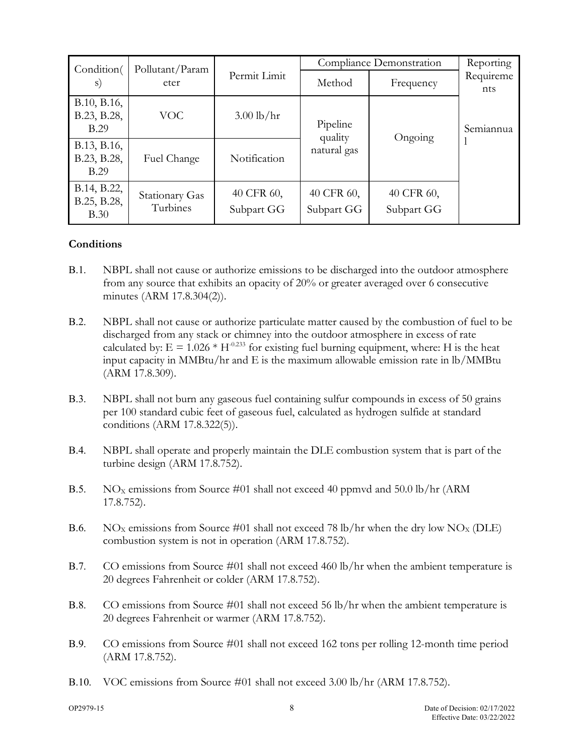| Condition(                         | Pollutant/Param            |                          |                          | Compliance Demonstration | Reporting        |
|------------------------------------|----------------------------|--------------------------|--------------------------|--------------------------|------------------|
| S)                                 | eter                       | Permit Limit             | Method                   | Frequency                | Requireme<br>nts |
| B.10, B.16,<br>B.23, B.28,<br>B.29 | <b>VOC</b>                 | $3.00$ lb/hr             | Pipeline<br>quality      | Ongoing                  | Semiannua        |
| B.13, B.16,<br>B.23, B.28,<br>B.29 | Fuel Change                | Notification             | natural gas              |                          |                  |
| B.14, B.22,<br>B.25, B.28,<br>B.30 | Stationary Gas<br>Turbines | 40 CFR 60,<br>Subpart GG | 40 CFR 60,<br>Subpart GG | 40 CFR 60,<br>Subpart GG |                  |

#### **Conditions**

- <span id="page-10-0"></span>B.1. NBPL shall not cause or authorize emissions to be discharged into the outdoor atmosphere from any source that exhibits an opacity of 20% or greater averaged over 6 consecutive minutes (ARM 17.8.304(2)).
- <span id="page-10-1"></span>B.2. NBPL shall not cause or authorize particulate matter caused by the combustion of fuel to be discharged from any stack or chimney into the outdoor atmosphere in excess of rate calculated by:  $E = 1.026 * H^{-0.233}$  for existing fuel burning equipment, where: H is the heat input capacity in MMBtu/hr and E is the maximum allowable emission rate in lb/MMBtu (ARM 17.8.309).
- <span id="page-10-2"></span>B.3. NBPL shall not burn any gaseous fuel containing sulfur compounds in excess of 50 grains per 100 standard cubic feet of gaseous fuel, calculated as hydrogen sulfide at standard conditions (ARM 17.8.322(5)).
- <span id="page-10-3"></span>B.4. NBPL shall operate and properly maintain the DLE combustion system that is part of the turbine design (ARM 17.8.752).
- <span id="page-10-4"></span>B.5. NO<sub>x</sub> emissions from Source #01 shall not exceed 40 ppmvd and 50.0 lb/hr (ARM 17.8.752).
- <span id="page-10-5"></span>B.6. NO<sub>X</sub> emissions from Source #01 shall not exceed 78 lb/hr when the dry low NO<sub>X</sub> (DLE) combustion system is not in operation (ARM 17.8.752).
- <span id="page-10-6"></span>B.7. CO emissions from Source #01 shall not exceed 460 lb/hr when the ambient temperature is 20 degrees Fahrenheit or colder (ARM 17.8.752).
- <span id="page-10-7"></span>B.8. CO emissions from Source #01 shall not exceed 56 lb/hr when the ambient temperature is 20 degrees Fahrenheit or warmer (ARM 17.8.752).
- <span id="page-10-8"></span>B.9. CO emissions from Source #01 shall not exceed 162 tons per rolling 12-month time period (ARM 17.8.752).
- <span id="page-10-9"></span>B.10. VOC emissions from Source #01 shall not exceed 3.00 lb/hr (ARM 17.8.752).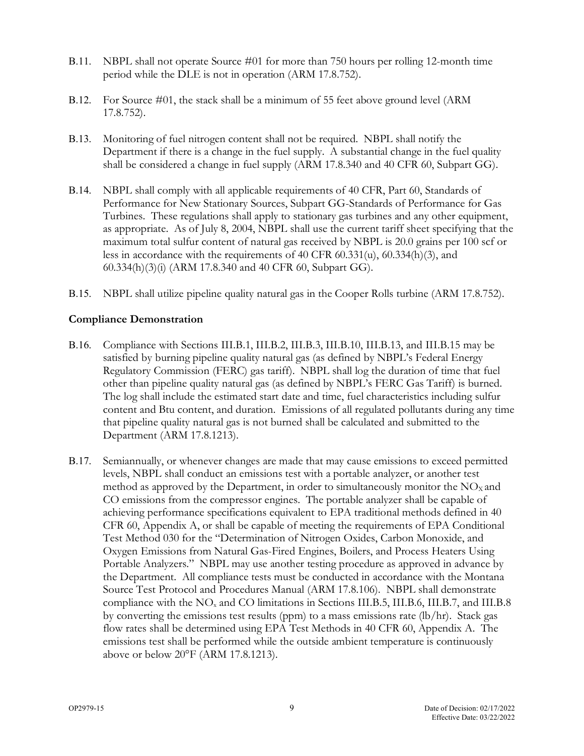- <span id="page-11-2"></span>B.11. NBPL shall not operate Source #01 for more than 750 hours per rolling 12-month time period while the DLE is not in operation (ARM 17.8.752).
- <span id="page-11-3"></span>B.12. For Source #01, the stack shall be a minimum of 55 feet above ground level (ARM 17.8.752).
- <span id="page-11-4"></span>B.13. Monitoring of fuel nitrogen content shall not be required. NBPL shall notify the Department if there is a change in the fuel supply. A substantial change in the fuel quality shall be considered a change in fuel supply (ARM 17.8.340 and 40 CFR 60, Subpart GG).
- <span id="page-11-5"></span>B.14. NBPL shall comply with all applicable requirements of 40 CFR, Part 60, Standards of Performance for New Stationary Sources, Subpart GG-Standards of Performance for Gas Turbines. These regulations shall apply to stationary gas turbines and any other equipment, as appropriate. As of July 8, 2004, NBPL shall use the current tariff sheet specifying that the maximum total sulfur content of natural gas received by NBPL is 20.0 grains per 100 scf or less in accordance with the requirements of 40 CFR 60.331(u), 60.334(h)(3), and 60.334(h)(3)(i) (ARM 17.8.340 and 40 CFR 60, Subpart GG).
- <span id="page-11-6"></span>B.15. NBPL shall utilize pipeline quality natural gas in the Cooper Rolls turbine (ARM 17.8.752).

#### **Compliance Demonstration**

- <span id="page-11-0"></span>B.16. Compliance with Sections III[.B.1,](#page-10-0) II[I.B.2,](#page-10-1) III[.B.3,](#page-10-2) III[.B.10,](#page-10-9) III[.B.13,](#page-11-4) and III[.B.15](#page-11-6) may be satisfied by burning pipeline quality natural gas (as defined by NBPL's Federal Energy Regulatory Commission (FERC) gas tariff). NBPL shall log the duration of time that fuel other than pipeline quality natural gas (as defined by NBPL's FERC Gas Tariff) is burned. The log shall include the estimated start date and time, fuel characteristics including sulfur content and Btu content, and duration. Emissions of all regulated pollutants during any time that pipeline quality natural gas is not burned shall be calculated and submitted to the Department (ARM 17.8.1213).
- <span id="page-11-1"></span>B.17. Semiannually, or whenever changes are made that may cause emissions to exceed permitted levels, NBPL shall conduct an emissions test with a portable analyzer, or another test method as approved by the Department, in order to simultaneously monitor the  $NO<sub>x</sub>$  and CO emissions from the compressor engines. The portable analyzer shall be capable of achieving performance specifications equivalent to EPA traditional methods defined in 40 CFR 60, [Appendix A,](#page-31-0) or shall be capable of meeting the requirements of EPA Conditional Test Method 030 for the "Determination of Nitrogen Oxides, Carbon Monoxide, and Oxygen Emissions from Natural Gas-Fired Engines, Boilers, and Process Heaters Using Portable Analyzers." NBPL may use another testing procedure as approved in advance by the Department. All compliance tests must be conducted in accordance with the Montana Source Test Protocol and Procedures Manual (ARM 17.8.106). NBPL shall demonstrate compliance with the NOx and CO limitations in Sections III[.B.5,](#page-10-4) III[.B.6,](#page-10-5) III[.B.7,](#page-10-6) and III[.B.8](#page-10-7) by converting the emissions test results (ppm) to a mass emissions rate (lb/hr). Stack gas flow rates shall be determined using EPA Test Methods in 40 CFR 60, [Appendix A.](#page-31-0) The emissions test shall be performed while the outside ambient temperature is continuously above or below 20°F (ARM 17.8.1213).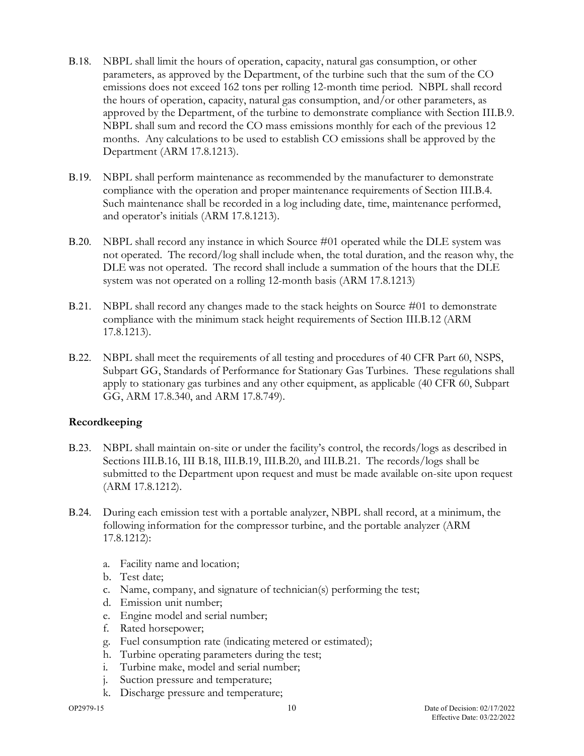- <span id="page-12-4"></span>B.18. NBPL shall limit the hours of operation, capacity, natural gas consumption, or other parameters, as approved by the Department, of the turbine such that the sum of the CO emissions does not exceed 162 tons per rolling 12-month time period. NBPL shall record the hours of operation, capacity, natural gas consumption, and/or other parameters, as approved by the Department, of the turbine to demonstrate compliance with Section III[.B.9.](#page-10-8) NBPL shall sum and record the CO mass emissions monthly for each of the previous 12 months. Any calculations to be used to establish CO emissions shall be approved by the Department (ARM 17.8.1213).
- <span id="page-12-1"></span>B.19. NBPL shall perform maintenance as recommended by the manufacturer to demonstrate compliance with the operation and proper maintenance requirements of Section III[.B.4.](#page-10-3) Such maintenance shall be recorded in a log including date, time, maintenance performed, and operator's initials (ARM 17.8.1213).
- <span id="page-12-3"></span>B.20. NBPL shall record any instance in which Source #01 operated while the DLE system was not operated. The record/log shall include when, the total duration, and the reason why, the DLE was not operated. The record shall include a summation of the hours that the DLE system was not operated on a rolling 12-month basis (ARM 17.8.1213)
- <span id="page-12-5"></span>B.21. NBPL shall record any changes made to the stack heights on Source #01 to demonstrate compliance with the minimum stack height requirements of Section III[.B.12](#page-11-3) (ARM 17.8.1213).
- <span id="page-12-6"></span>B.22. NBPL shall meet the requirements of all testing and procedures of 40 CFR Part 60, NSPS, Subpart GG, Standards of Performance for Stationary Gas Turbines. These regulations shall apply to stationary gas turbines and any other equipment, as applicable (40 CFR 60, Subpart GG, ARM 17.8.340, and ARM 17.8.749).

#### **Recordkeeping**

- <span id="page-12-0"></span>B.23. NBPL shall maintain on-site or under the facility's control, the records/logs as described in Sections III[.B.16,](#page-11-0) III [B.18,](#page-12-4) III[.B.19,](#page-12-1) III[.B.20,](#page-12-3) and III[.B.21.](#page-12-5) The records/logs shall be submitted to the Department upon request and must be made available on-site upon request (ARM 17.8.1212).
- <span id="page-12-2"></span>B.24. During each emission test with a portable analyzer, NBPL shall record, at a minimum, the following information for the compressor turbine, and the portable analyzer (ARM 17.8.1212):
	- a. Facility name and location;
	- b. Test date;
	- c. Name, company, and signature of technician(s) performing the test;
	- d. Emission unit number;
	- e. Engine model and serial number;
	- f. Rated horsepower;
	- g. Fuel consumption rate (indicating metered or estimated);
	- h. Turbine operating parameters during the test;
	- i. Turbine make, model and serial number;
	- j. Suction pressure and temperature;
	- k. Discharge pressure and temperature;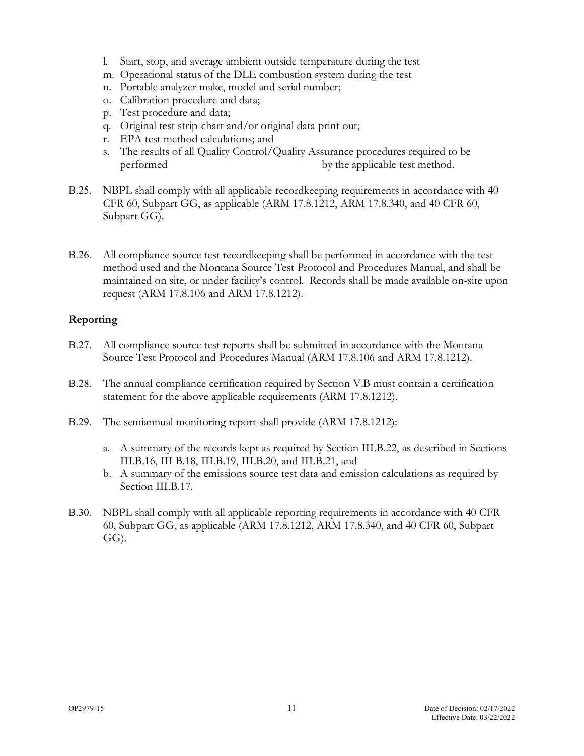- l. Start, stop, and average ambient outside temperature during the test
- m. Operational status of the DLE combustion system during the test
- n. Portable analyzer make, model and serial number;
- o. Calibration procedure and data;
- p. Test procedure and data;
- q. Original test strip-chart and/or original data print out;
- r. EPA test method calculations; and
- s. The results of all Quality Control/Quality Assurance procedures required to be performed by the applicable test method.
- <span id="page-13-4"></span>B.25. NBPL shall comply with all applicable recordkeeping requirements in accordance with 40 CFR 60, Subpart GG, as applicable (ARM 17.8.1212, ARM 17.8.340, and 40 CFR 60, Subpart GG).
- <span id="page-13-2"></span>B.26. All compliance source test recordkeeping shall be performed in accordance with the test method used and the Montana Source Test Protocol and Procedures Manual, and shall be maintained on site, or under facility's control. Records shall be made available on-site upon request (ARM 17.8.106 and ARM 17.8.1212).

#### **Reporting**

- <span id="page-13-3"></span>B.27. All compliance source test reports shall be submitted in accordance with the Montana Source Test Protocol and Procedures Manual (ARM 17.8.106 and ARM 17.8.1212).
- <span id="page-13-0"></span>B.28. The annual compliance certification required by Section V[.B](#page-17-0) must contain a certification statement for the above applicable requirements (ARM 17.8.1212).
- <span id="page-13-1"></span>B.29. The semiannual monitoring report shall provide (ARM 17.8.1212):
	- a. A summary of the records kept as required by Section II[I.B.22,](#page-12-6) as described in Sections III[.B.16,](#page-11-0) III [B.18,](#page-12-4) III[.B.19,](#page-12-1) II[I.B.20,](#page-12-3) and II[I.B.21,](#page-12-5) and
	- b. A summary of the emissions source test data and emission calculations as required by Section II[I.B.17.](#page-11-1)
- <span id="page-13-5"></span>B.30. NBPL shall comply with all applicable reporting requirements in accordance with 40 CFR 60, Subpart GG, as applicable (ARM 17.8.1212, ARM 17.8.340, and 40 CFR 60, Subpart GG).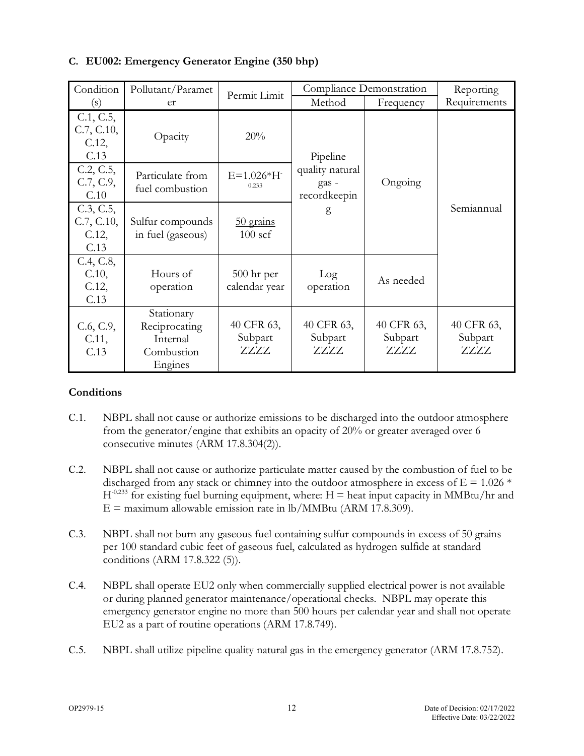| Condition                               | Pollutant/Paramet                                                | Permit Limit                  |                                          | Compliance Demonstration      | Reporting                     |
|-----------------------------------------|------------------------------------------------------------------|-------------------------------|------------------------------------------|-------------------------------|-------------------------------|
| (s)                                     | er                                                               |                               | Method                                   | Frequency                     | Requirements                  |
| C.1, C.5,<br>C.7, C.10,<br>C.12<br>C.13 | Opacity                                                          | 20%                           | Pipeline                                 |                               |                               |
| C.2, C.5,<br>C.7, C.9,<br>C.10          | Particulate from<br>fuel combustion                              | $E=1.026*H$<br>0.233          | quality natural<br>gas -<br>recordkeepin | Ongoing                       |                               |
| C.3, C.5,<br>C.7, C.10,<br>C.12<br>C.13 | Sulfur compounds<br>in fuel (gaseous)                            | 50 grains<br>$100$ scf        | g                                        |                               | Semiannual                    |
| C.4, C.8,<br>$C.10$ ,<br>C.12<br>C.13   | Hours of<br>operation                                            | $500$ hr per<br>calendar year | Log<br>operation                         | As needed                     |                               |
| C.6, C.9,<br>C.11,<br>C.13              | Stationary<br>Reciprocating<br>Internal<br>Combustion<br>Engines | 40 CFR 63,<br>Subpart<br>ZZZZ | 40 CFR 63,<br>Subpart<br>ZZZZ            | 40 CFR 63,<br>Subpart<br>ZZZZ | 40 CFR 63,<br>Subpart<br>ZZZZ |

# **C. EU002: Emergency Generator Engine (350 bhp)**

#### **Conditions**

- <span id="page-14-0"></span>C.1. NBPL shall not cause or authorize emissions to be discharged into the outdoor atmosphere from the generator/engine that exhibits an opacity of 20% or greater averaged over 6 consecutive minutes (ARM 17.8.304(2)).
- <span id="page-14-2"></span>C.2. NBPL shall not cause or authorize particulate matter caused by the combustion of fuel to be discharged from any stack or chimney into the outdoor atmosphere in excess of  $E = 1.026$  \*  $H<sup>-0.233</sup>$  for existing fuel burning equipment, where: H = heat input capacity in MMBtu/hr and  $E =$  maximum allowable emission rate in lb/MMBtu (ARM 17.8.309).
- <span id="page-14-3"></span>C.3. NBPL shall not burn any gaseous fuel containing sulfur compounds in excess of 50 grains per 100 standard cubic feet of gaseous fuel, calculated as hydrogen sulfide at standard conditions (ARM 17.8.322 (5)).
- <span id="page-14-4"></span>C.4. NBPL shall operate EU2 only when commercially supplied electrical power is not available or during planned generator maintenance/operational checks. NBPL may operate this emergency generator engine no more than 500 hours per calendar year and shall not operate EU2 as a part of routine operations (ARM 17.8.749).
- <span id="page-14-1"></span>C.5. NBPL shall utilize pipeline quality natural gas in the emergency generator (ARM 17.8.752).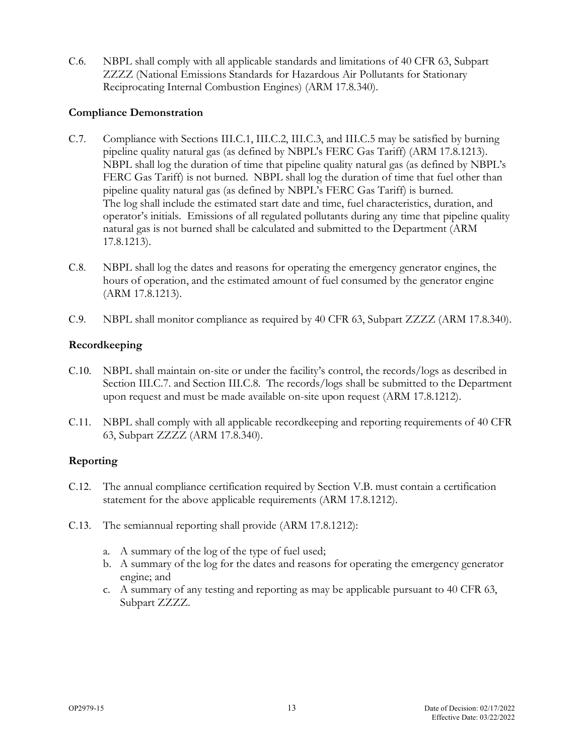<span id="page-15-6"></span>C.6. NBPL shall comply with all applicable standards and limitations of 40 CFR 63, Subpart ZZZZ (National Emissions Standards for Hazardous Air Pollutants for Stationary Reciprocating Internal Combustion Engines) (ARM 17.8.340).

#### **Compliance Demonstration**

- <span id="page-15-0"></span>C.7. Compliance with Sections III[.C.1,](#page-14-0) III[.C.2,](#page-14-2) II[I.C.3,](#page-14-3) and II[I.C.5](#page-14-1) may be satisfied by burning pipeline quality natural gas (as defined by NBPL's FERC Gas Tariff) (ARM 17.8.1213). NBPL shall log the duration of time that pipeline quality natural gas (as defined by NBPL's FERC Gas Tariff) is not burned. NBPL shall log the duration of time that fuel other than pipeline quality natural gas (as defined by NBPL's FERC Gas Tariff) is burned. The log shall include the estimated start date and time, fuel characteristics, duration, and operator's initials. Emissions of all regulated pollutants during any time that pipeline quality natural gas is not burned shall be calculated and submitted to the Department (ARM 17.8.1213).
- <span id="page-15-5"></span>C.8. NBPL shall log the dates and reasons for operating the emergency generator engines, the hours of operation, and the estimated amount of fuel consumed by the generator engine (ARM 17.8.1213).
- <span id="page-15-4"></span>C.9. NBPL shall monitor compliance as required by 40 CFR 63, Subpart ZZZZ (ARM 17.8.340).

#### **Recordkeeping**

- <span id="page-15-1"></span>C.10. NBPL shall maintain on-site or under the facility's control, the records/logs as described in Section II[I.C.7.](#page-15-0) and Section II[I.C.8.](#page-15-5) The records/logs shall be submitted to the Department upon request and must be made available on-site upon request (ARM 17.8.1212).
- <span id="page-15-7"></span>C.11. NBPL shall comply with all applicable recordkeeping and reporting requirements of 40 CFR 63, Subpart ZZZZ (ARM 17.8.340).

#### **Reporting**

- <span id="page-15-2"></span>C.12. The annual compliance certification required by Section V[.B.](#page-17-0) must contain a certification statement for the above applicable requirements (ARM 17.8.1212).
- <span id="page-15-3"></span>C.13. The semiannual reporting shall provide (ARM 17.8.1212):
	- a. A summary of the log of the type of fuel used;
	- b. A summary of the log for the dates and reasons for operating the emergency generator engine; and
	- c. A summary of any testing and reporting as may be applicable pursuant to 40 CFR 63, Subpart ZZZZ.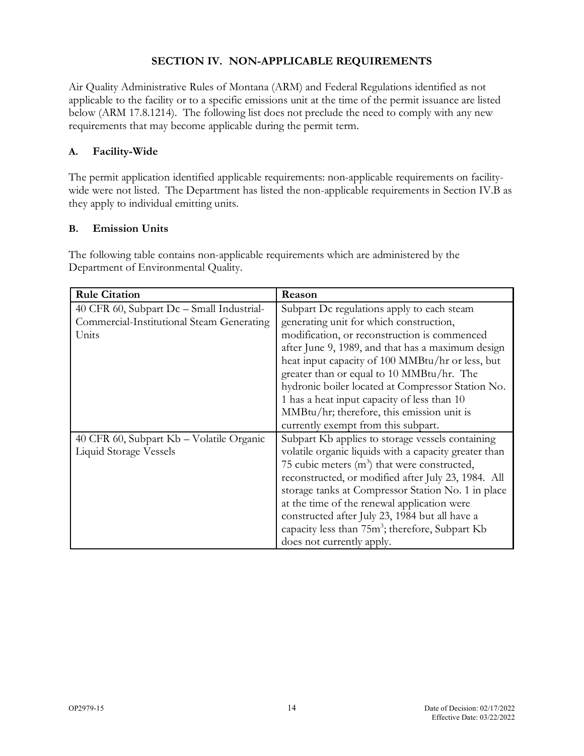#### **SECTION IV. NON-APPLICABLE REQUIREMENTS**

Air Quality Administrative Rules of Montana (ARM) and Federal Regulations identified as not applicable to the facility or to a specific emissions unit at the time of the permit issuance are listed below (ARM 17.8.1214). The following list does not preclude the need to comply with any new requirements that may become applicable during the permit term.

#### **A. Facility-Wide**

The permit application identified applicable requirements: non-applicable requirements on facilitywide were not listed. The Department has listed the non-applicable requirements in Section IV[.B](#page-16-0) as they apply to individual emitting units.

#### <span id="page-16-0"></span>**B. Emission Units**

The following table contains non-applicable requirements which are administered by the Department of Environmental Quality.

| <b>Rule Citation</b>                      | Reason                                                      |
|-------------------------------------------|-------------------------------------------------------------|
| 40 CFR 60, Subpart Dc - Small Industrial- | Subpart Dc regulations apply to each steam                  |
| Commercial-Institutional Steam Generating | generating unit for which construction,                     |
| Units                                     | modification, or reconstruction is commenced                |
|                                           | after June 9, 1989, and that has a maximum design           |
|                                           | heat input capacity of 100 MMBtu/hr or less, but            |
|                                           | greater than or equal to 10 MMBtu/hr. The                   |
|                                           | hydronic boiler located at Compressor Station No.           |
|                                           | 1 has a heat input capacity of less than 10                 |
|                                           | MMBtu/hr; therefore, this emission unit is                  |
|                                           | currently exempt from this subpart.                         |
| 40 CFR 60, Subpart Kb - Volatile Organic  | Subpart Kb applies to storage vessels containing            |
| <b>Liquid Storage Vessels</b>             | volatile organic liquids with a capacity greater than       |
|                                           | 75 cubic meters $(m^3)$ that were constructed,              |
|                                           | reconstructed, or modified after July 23, 1984. All         |
|                                           | storage tanks at Compressor Station No. 1 in place          |
|                                           | at the time of the renewal application were                 |
|                                           | constructed after July 23, 1984 but all have a              |
|                                           | capacity less than 75m <sup>3</sup> ; therefore, Subpart Kb |
|                                           | does not currently apply.                                   |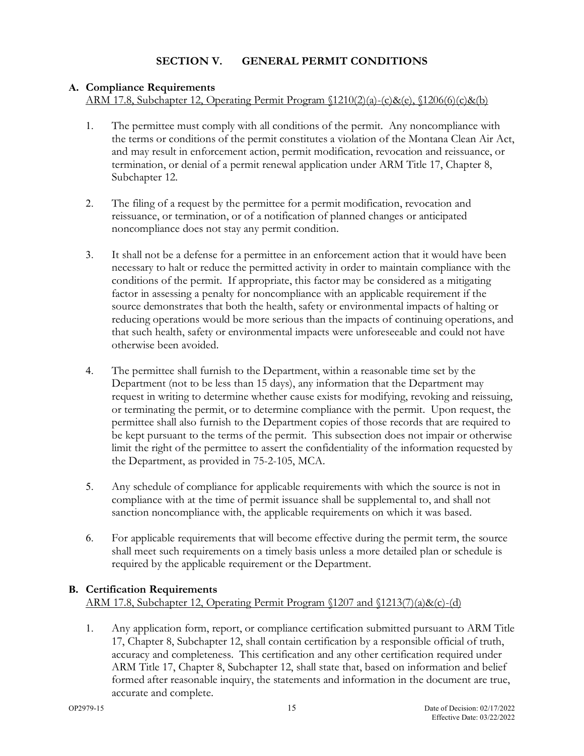# **A. Compliance Requirements**

ARM 17.8, Subchapter 12, Operating Permit Program §1210(2)(a)-(c)&(e), §1206(6)(c)&(b)

- 1. The permittee must comply with all conditions of the permit. Any noncompliance with the terms or conditions of the permit constitutes a violation of the Montana Clean Air Act, and may result in enforcement action, permit modification, revocation and reissuance, or termination, or denial of a permit renewal application under ARM Title 17, Chapter 8, Subchapter 12.
- 2. The filing of a request by the permittee for a permit modification, revocation and reissuance, or termination, or of a notification of planned changes or anticipated noncompliance does not stay any permit condition.
- 3. It shall not be a defense for a permittee in an enforcement action that it would have been necessary to halt or reduce the permitted activity in order to maintain compliance with the conditions of the permit. If appropriate, this factor may be considered as a mitigating factor in assessing a penalty for noncompliance with an applicable requirement if the source demonstrates that both the health, safety or environmental impacts of halting or reducing operations would be more serious than the impacts of continuing operations, and that such health, safety or environmental impacts were unforeseeable and could not have otherwise been avoided.
- 4. The permittee shall furnish to the Department, within a reasonable time set by the Department (not to be less than 15 days), any information that the Department may request in writing to determine whether cause exists for modifying, revoking and reissuing, or terminating the permit, or to determine compliance with the permit. Upon request, the permittee shall also furnish to the Department copies of those records that are required to be kept pursuant to the terms of the permit. This subsection does not impair or otherwise limit the right of the permittee to assert the confidentiality of the information requested by the Department, as provided in 75-2-105, MCA.
- 5. Any schedule of compliance for applicable requirements with which the source is not in compliance with at the time of permit issuance shall be supplemental to, and shall not sanction noncompliance with, the applicable requirements on which it was based.
- 6. For applicable requirements that will become effective during the permit term, the source shall meet such requirements on a timely basis unless a more detailed plan or schedule is required by the applicable requirement or the Department.

# <span id="page-17-0"></span>**B. Certification Requirements**

ARM 17.8, Subchapter 12, Operating Permit Program §1207 and §1213(7)(a)&(c)-(d)

1. Any application form, report, or compliance certification submitted pursuant to ARM Title 17, Chapter 8, Subchapter 12, shall contain certification by a responsible official of truth, accuracy and completeness. This certification and any other certification required under ARM Title 17, Chapter 8, Subchapter 12, shall state that, based on information and belief formed after reasonable inquiry, the statements and information in the document are true, accurate and complete.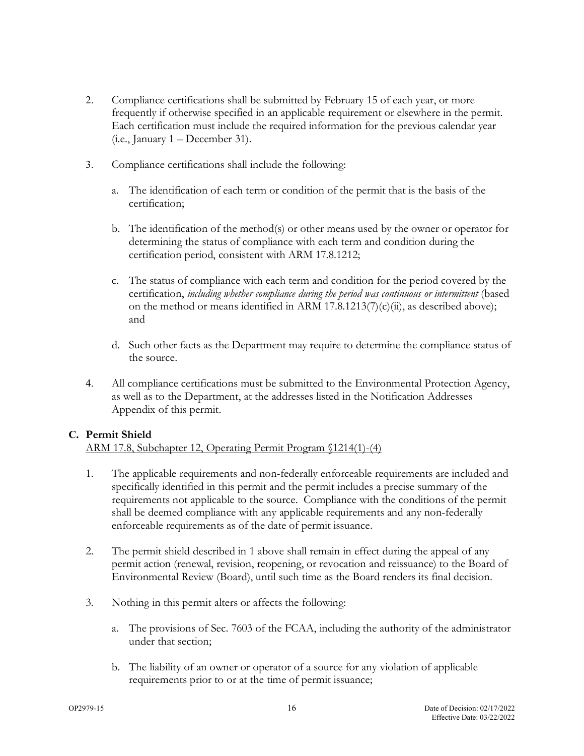- 2. Compliance certifications shall be submitted by February 15 of each year, or more frequently if otherwise specified in an applicable requirement or elsewhere in the permit. Each certification must include the required information for the previous calendar year (i.e., January 1 – December 31).
- 3. Compliance certifications shall include the following:
	- a. The identification of each term or condition of the permit that is the basis of the certification;
	- b. The identification of the method(s) or other means used by the owner or operator for determining the status of compliance with each term and condition during the certification period, consistent with ARM 17.8.1212;
	- c. The status of compliance with each term and condition for the period covered by the certification, *including whether compliance during the period was continuous or intermittent* (based on the method or means identified in ARM 17.8.1213(7)(c)(ii), as described above); and
	- d. Such other facts as the Department may require to determine the compliance status of the source.
- 4. All compliance certifications must be submitted to the Environmental Protection Agency, as well as to the Department, at the addresses listed in the Notification Addresses Appendix of this permit.

#### **C. Permit Shield**

#### ARM 17.8, Subchapter 12, Operating Permit Program §1214(1)-(4)

- 1. The applicable requirements and non-federally enforceable requirements are included and specifically identified in this permit and the permit includes a precise summary of the requirements not applicable to the source. Compliance with the conditions of the permit shall be deemed compliance with any applicable requirements and any non-federally enforceable requirements as of the date of permit issuance.
- 2. The permit shield described in 1 above shall remain in effect during the appeal of any permit action (renewal, revision, reopening, or revocation and reissuance) to the Board of Environmental Review (Board), until such time as the Board renders its final decision.
- 3. Nothing in this permit alters or affects the following:
	- a. The provisions of Sec. 7603 of the FCAA, including the authority of the administrator under that section;
	- b. The liability of an owner or operator of a source for any violation of applicable requirements prior to or at the time of permit issuance;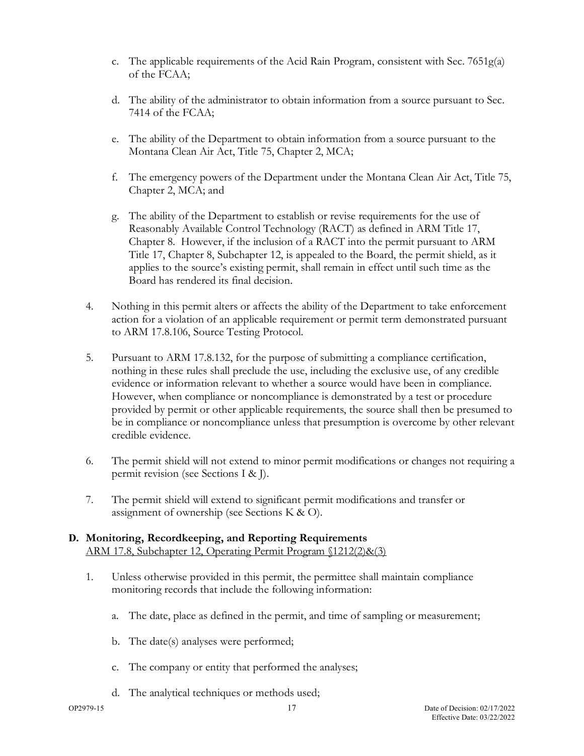- c. The applicable requirements of the Acid Rain Program, consistent with Sec. 7651g(a) of the FCAA;
- d. The ability of the administrator to obtain information from a source pursuant to Sec. 7414 of the FCAA;
- e. The ability of the Department to obtain information from a source pursuant to the Montana Clean Air Act, Title 75, Chapter 2, MCA;
- f. The emergency powers of the Department under the Montana Clean Air Act, Title 75, Chapter 2, MCA; and
- g. The ability of the Department to establish or revise requirements for the use of Reasonably Available Control Technology (RACT) as defined in ARM Title 17, Chapter 8. However, if the inclusion of a RACT into the permit pursuant to ARM Title 17, Chapter 8, Subchapter 12, is appealed to the Board, the permit shield, as it applies to the source's existing permit, shall remain in effect until such time as the Board has rendered its final decision.
- 4. Nothing in this permit alters or affects the ability of the Department to take enforcement action for a violation of an applicable requirement or permit term demonstrated pursuant to ARM 17.8.106, Source Testing Protocol.
- 5. Pursuant to ARM 17.8.132, for the purpose of submitting a compliance certification, nothing in these rules shall preclude the use, including the exclusive use, of any credible evidence or information relevant to whether a source would have been in compliance. However, when compliance or noncompliance is demonstrated by a test or procedure provided by permit or other applicable requirements, the source shall then be presumed to be in compliance or noncompliance unless that presumption is overcome by other relevant credible evidence.
- 6. The permit shield will not extend to minor permit modifications or changes not requiring a permit revision (see Sections [I](#page-22-0) & [J\)](#page-22-1).
- 7. The permit shield will extend to significant permit modifications and transfer or assignment of ownership (see Sections [K](#page-24-0) & [O\)](#page-25-0).

#### **D. Monitoring, Recordkeeping, and Reporting Requirements** ARM 17.8, Subchapter 12, Operating Permit Program §1212(2)&(3)

- 1. Unless otherwise provided in this permit, the permittee shall maintain compliance monitoring records that include the following information:
	- a. The date, place as defined in the permit, and time of sampling or measurement;
	- b. The date(s) analyses were performed;
	- c. The company or entity that performed the analyses;
	- d. The analytical techniques or methods used;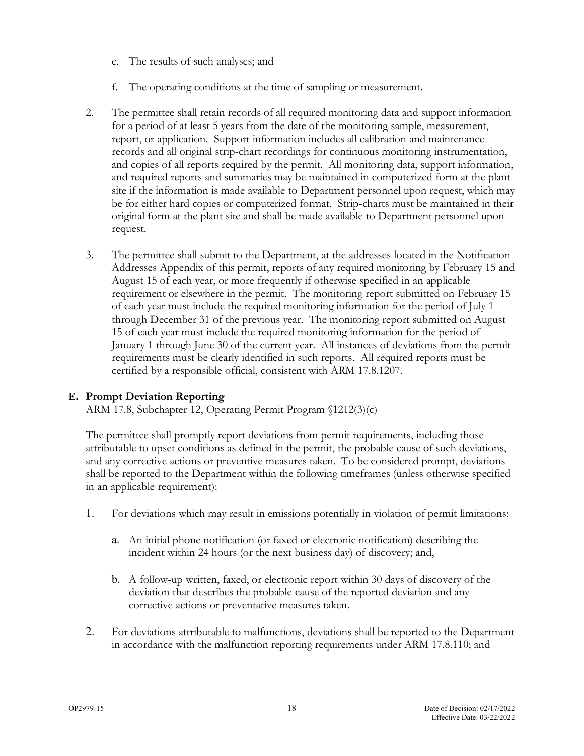- e. The results of such analyses; and
- f. The operating conditions at the time of sampling or measurement.
- 2. The permittee shall retain records of all required monitoring data and support information for a period of at least 5 years from the date of the monitoring sample, measurement, report, or application. Support information includes all calibration and maintenance records and all original strip-chart recordings for continuous monitoring instrumentation, and copies of all reports required by the permit. All monitoring data, support information, and required reports and summaries may be maintained in computerized form at the plant site if the information is made available to Department personnel upon request, which may be for either hard copies or computerized format. Strip-charts must be maintained in their original form at the plant site and shall be made available to Department personnel upon request.
- 3. The permittee shall submit to the Department, at the addresses located in the Notification Addresses Appendix of this permit, reports of any required monitoring by February 15 and August 15 of each year, or more frequently if otherwise specified in an applicable requirement or elsewhere in the permit. The monitoring report submitted on February 15 of each year must include the required monitoring information for the period of July 1 through December 31 of the previous year. The monitoring report submitted on August 15 of each year must include the required monitoring information for the period of January 1 through June 30 of the current year. All instances of deviations from the permit requirements must be clearly identified in such reports. All required reports must be certified by a responsible official, consistent with ARM 17.8.1207.

#### <span id="page-20-0"></span>**E. Prompt Deviation Reporting**

ARM 17.8, Subchapter 12, Operating Permit Program §1212(3)(c)

The permittee shall promptly report deviations from permit requirements, including those attributable to upset conditions as defined in the permit, the probable cause of such deviations, and any corrective actions or preventive measures taken. To be considered prompt, deviations shall be reported to the Department within the following timeframes (unless otherwise specified in an applicable requirement):

- 1. For deviations which may result in emissions potentially in violation of permit limitations:
	- a. An initial phone notification (or faxed or electronic notification) describing the incident within 24 hours (or the next business day) of discovery; and,
	- b. A follow-up written, faxed, or electronic report within 30 days of discovery of the deviation that describes the probable cause of the reported deviation and any corrective actions or preventative measures taken.
- 2. For deviations attributable to malfunctions, deviations shall be reported to the Department in accordance with the malfunction reporting requirements under ARM 17.8.110; and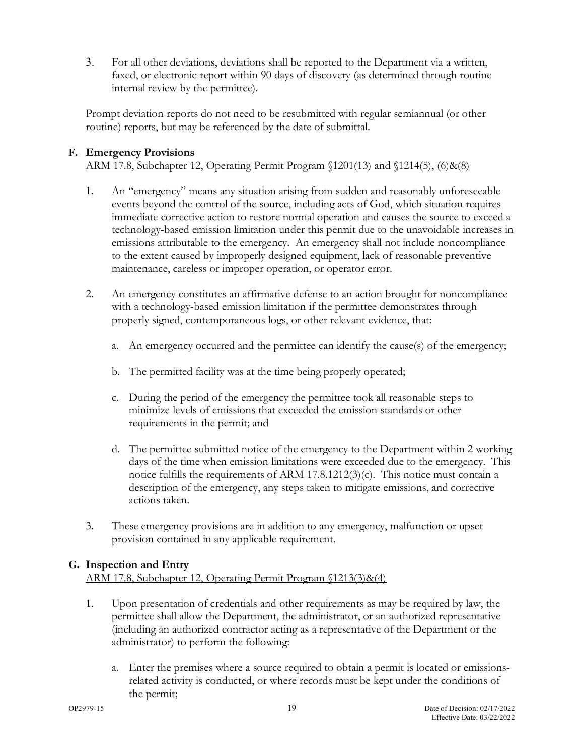3. For all other deviations, deviations shall be reported to the Department via a written, faxed, or electronic report within 90 days of discovery (as determined through routine internal review by the permittee).

Prompt deviation reports do not need to be resubmitted with regular semiannual (or other routine) reports, but may be referenced by the date of submittal.

## **F. Emergency Provisions**

## ARM 17.8, Subchapter 12, Operating Permit Program §1201(13) and §1214(5), (6)&(8)

- 1. An "emergency" means any situation arising from sudden and reasonably unforeseeable events beyond the control of the source, including acts of God, which situation requires immediate corrective action to restore normal operation and causes the source to exceed a technology-based emission limitation under this permit due to the unavoidable increases in emissions attributable to the emergency. An emergency shall not include noncompliance to the extent caused by improperly designed equipment, lack of reasonable preventive maintenance, careless or improper operation, or operator error.
- 2. An emergency constitutes an affirmative defense to an action brought for noncompliance with a technology-based emission limitation if the permittee demonstrates through properly signed, contemporaneous logs, or other relevant evidence, that:
	- a. An emergency occurred and the permittee can identify the cause(s) of the emergency;
	- b. The permitted facility was at the time being properly operated;
	- c. During the period of the emergency the permittee took all reasonable steps to minimize levels of emissions that exceeded the emission standards or other requirements in the permit; and
	- d. The permittee submitted notice of the emergency to the Department within 2 working days of the time when emission limitations were exceeded due to the emergency. This notice fulfills the requirements of ARM  $17.8.1212(3)(c)$ . This notice must contain a description of the emergency, any steps taken to mitigate emissions, and corrective actions taken.
- 3. These emergency provisions are in addition to any emergency, malfunction or upset provision contained in any applicable requirement.

#### **G. Inspection and Entry**

ARM 17.8, Subchapter 12, Operating Permit Program §1213(3)&(4)

- 1. Upon presentation of credentials and other requirements as may be required by law, the permittee shall allow the Department, the administrator, or an authorized representative (including an authorized contractor acting as a representative of the Department or the administrator) to perform the following:
	- a. Enter the premises where a source required to obtain a permit is located or emissionsrelated activity is conducted, or where records must be kept under the conditions of the permit;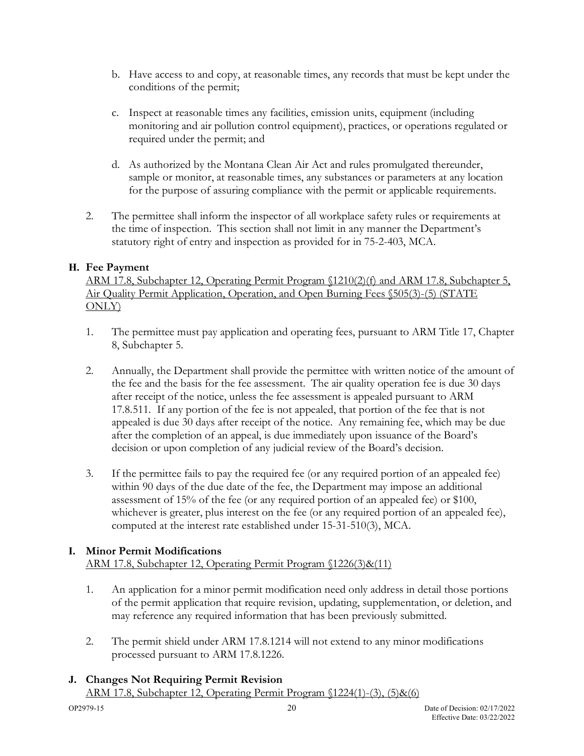- b. Have access to and copy, at reasonable times, any records that must be kept under the conditions of the permit;
- c. Inspect at reasonable times any facilities, emission units, equipment (including monitoring and air pollution control equipment), practices, or operations regulated or required under the permit; and
- d. As authorized by the Montana Clean Air Act and rules promulgated thereunder, sample or monitor, at reasonable times, any substances or parameters at any location for the purpose of assuring compliance with the permit or applicable requirements.
- 2. The permittee shall inform the inspector of all workplace safety rules or requirements at the time of inspection. This section shall not limit in any manner the Department's statutory right of entry and inspection as provided for in 75-2-403, MCA.

#### **H. Fee Payment**

ARM 17.8, Subchapter 12, Operating Permit Program §1210(2)(f) and ARM 17.8, Subchapter 5, Air Quality Permit Application, Operation, and Open Burning Fees §505(3)-(5) (STATE ONLY)

- 1. The permittee must pay application and operating fees, pursuant to ARM Title 17, Chapter 8, Subchapter 5.
- 2. Annually, the Department shall provide the permittee with written notice of the amount of the fee and the basis for the fee assessment. The air quality operation fee is due 30 days after receipt of the notice, unless the fee assessment is appealed pursuant to ARM 17.8.511. If any portion of the fee is not appealed, that portion of the fee that is not appealed is due 30 days after receipt of the notice. Any remaining fee, which may be due after the completion of an appeal, is due immediately upon issuance of the Board's decision or upon completion of any judicial review of the Board's decision.
- 3. If the permittee fails to pay the required fee (or any required portion of an appealed fee) within 90 days of the due date of the fee, the Department may impose an additional assessment of 15% of the fee (or any required portion of an appealed fee) or \$100, whichever is greater, plus interest on the fee (or any required portion of an appealed fee), computed at the interest rate established under 15-31-510(3), MCA.

#### <span id="page-22-0"></span>**I. Minor Permit Modifications**

ARM 17.8, Subchapter 12, Operating Permit Program §1226(3)&(11)

- 1. An application for a minor permit modification need only address in detail those portions of the permit application that require revision, updating, supplementation, or deletion, and may reference any required information that has been previously submitted.
- 2. The permit shield under ARM 17.8.1214 will not extend to any minor modifications processed pursuant to ARM 17.8.1226.

#### <span id="page-22-1"></span>**J. Changes Not Requiring Permit Revision** ARM 17.8, Subchapter 12, Operating Permit Program §1224(1)-(3), (5)&(6)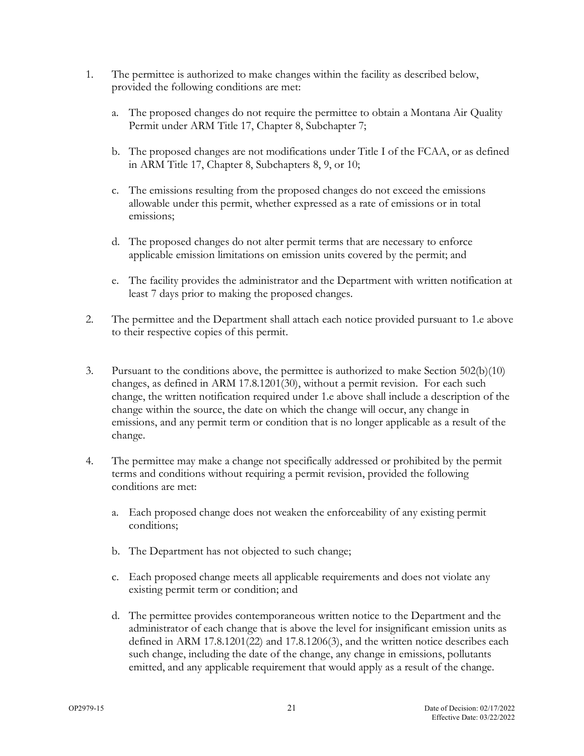- 1. The permittee is authorized to make changes within the facility as described below, provided the following conditions are met:
	- a. The proposed changes do not require the permittee to obtain a Montana Air Quality Permit under ARM Title 17, Chapter 8, Subchapter 7;
	- b. The proposed changes are not modifications under Title I of the FCAA, or as defined in ARM Title 17, Chapter 8, Subchapters 8, 9, or 10;
	- c. The emissions resulting from the proposed changes do not exceed the emissions allowable under this permit, whether expressed as a rate of emissions or in total emissions;
	- d. The proposed changes do not alter permit terms that are necessary to enforce applicable emission limitations on emission units covered by the permit; and
	- e. The facility provides the administrator and the Department with written notification at least 7 days prior to making the proposed changes.
- 2. The permittee and the Department shall attach each notice provided pursuant to 1.e above to their respective copies of this permit.
- 3. Pursuant to the conditions above, the permittee is authorized to make Section 502(b)(10) changes, as defined in ARM 17.8.1201(30), without a permit revision. For each such change, the written notification required under 1.e above shall include a description of the change within the source, the date on which the change will occur, any change in emissions, and any permit term or condition that is no longer applicable as a result of the change.
- 4. The permittee may make a change not specifically addressed or prohibited by the permit terms and conditions without requiring a permit revision, provided the following conditions are met:
	- a. Each proposed change does not weaken the enforceability of any existing permit conditions;
	- b. The Department has not objected to such change;
	- c. Each proposed change meets all applicable requirements and does not violate any existing permit term or condition; and
	- d. The permittee provides contemporaneous written notice to the Department and the administrator of each change that is above the level for insignificant emission units as defined in ARM 17.8.1201(22) and 17.8.1206(3), and the written notice describes each such change, including the date of the change, any change in emissions, pollutants emitted, and any applicable requirement that would apply as a result of the change.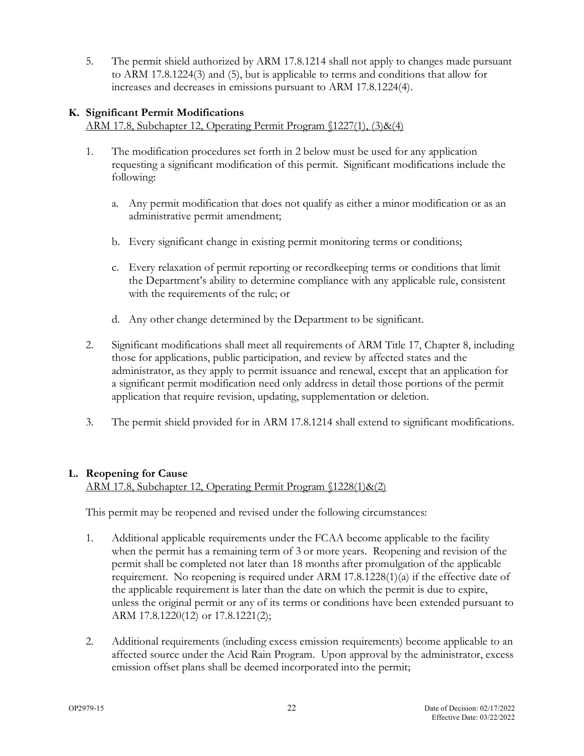5. The permit shield authorized by ARM 17.8.1214 shall not apply to changes made pursuant to ARM 17.8.1224(3) and (5), but is applicable to terms and conditions that allow for increases and decreases in emissions pursuant to ARM 17.8.1224(4).

#### <span id="page-24-0"></span>**K. Significant Permit Modifications**

ARM 17.8, Subchapter 12, Operating Permit Program §1227(1), (3)&(4)

- 1. The modification procedures set forth in 2 below must be used for any application requesting a significant modification of this permit. Significant modifications include the following:
	- a. Any permit modification that does not qualify as either a minor modification or as an administrative permit amendment;
	- b. Every significant change in existing permit monitoring terms or conditions;
	- c. Every relaxation of permit reporting or recordkeeping terms or conditions that limit the Department's ability to determine compliance with any applicable rule, consistent with the requirements of the rule; or
	- d. Any other change determined by the Department to be significant.
- 2. Significant modifications shall meet all requirements of ARM Title 17, Chapter 8, including those for applications, public participation, and review by affected states and the administrator, as they apply to permit issuance and renewal, except that an application for a significant permit modification need only address in detail those portions of the permit application that require revision, updating, supplementation or deletion.
- 3. The permit shield provided for in ARM 17.8.1214 shall extend to significant modifications.

#### **L. Reopening for Cause**

ARM 17.8, Subchapter 12, Operating Permit Program §1228(1)&(2)

This permit may be reopened and revised under the following circumstances:

- 1. Additional applicable requirements under the FCAA become applicable to the facility when the permit has a remaining term of 3 or more years. Reopening and revision of the permit shall be completed not later than 18 months after promulgation of the applicable requirement. No reopening is required under ARM 17.8.1228(1)(a) if the effective date of the applicable requirement is later than the date on which the permit is due to expire, unless the original permit or any of its terms or conditions have been extended pursuant to ARM 17.8.1220(12) or 17.8.1221(2);
- 2. Additional requirements (including excess emission requirements) become applicable to an affected source under the Acid Rain Program. Upon approval by the administrator, excess emission offset plans shall be deemed incorporated into the permit;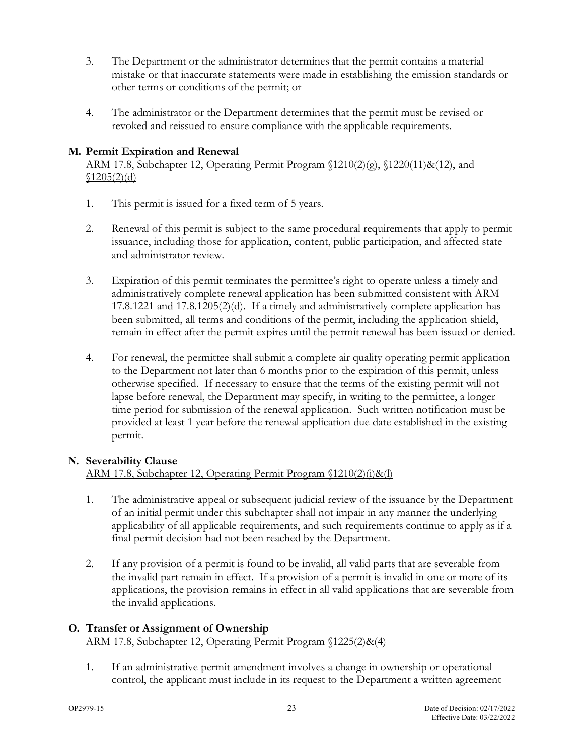- 3. The Department or the administrator determines that the permit contains a material mistake or that inaccurate statements were made in establishing the emission standards or other terms or conditions of the permit; or
- 4. The administrator or the Department determines that the permit must be revised or revoked and reissued to ensure compliance with the applicable requirements.

#### **M. Permit Expiration and Renewal**

ARM 17.8, Subchapter 12, Operating Permit Program  $(1210(2)(g), (1220(11)\&(12),$  and  $$1205(2)(d)$ 

- 1. This permit is issued for a fixed term of 5 years.
- 2. Renewal of this permit is subject to the same procedural requirements that apply to permit issuance, including those for application, content, public participation, and affected state and administrator review.
- 3. Expiration of this permit terminates the permittee's right to operate unless a timely and administratively complete renewal application has been submitted consistent with ARM  $17.8.1221$  and  $17.8.1205(2)(d)$ . If a timely and administratively complete application has been submitted, all terms and conditions of the permit, including the application shield, remain in effect after the permit expires until the permit renewal has been issued or denied.
- 4. For renewal, the permittee shall submit a complete air quality operating permit application to the Department not later than 6 months prior to the expiration of this permit, unless otherwise specified. If necessary to ensure that the terms of the existing permit will not lapse before renewal, the Department may specify, in writing to the permittee, a longer time period for submission of the renewal application. Such written notification must be provided at least 1 year before the renewal application due date established in the existing permit.

#### **N. Severability Clause**

#### ARM 17.8, Subchapter 12, Operating Permit Program §1210(2)(i)&(l)

- 1. The administrative appeal or subsequent judicial review of the issuance by the Department of an initial permit under this subchapter shall not impair in any manner the underlying applicability of all applicable requirements, and such requirements continue to apply as if a final permit decision had not been reached by the Department.
- 2. If any provision of a permit is found to be invalid, all valid parts that are severable from the invalid part remain in effect. If a provision of a permit is invalid in one or more of its applications, the provision remains in effect in all valid applications that are severable from the invalid applications.

#### <span id="page-25-0"></span>**O. Transfer or Assignment of Ownership** ARM 17.8, Subchapter 12, Operating Permit Program §1225(2)&(4)

1. If an administrative permit amendment involves a change in ownership or operational control, the applicant must include in its request to the Department a written agreement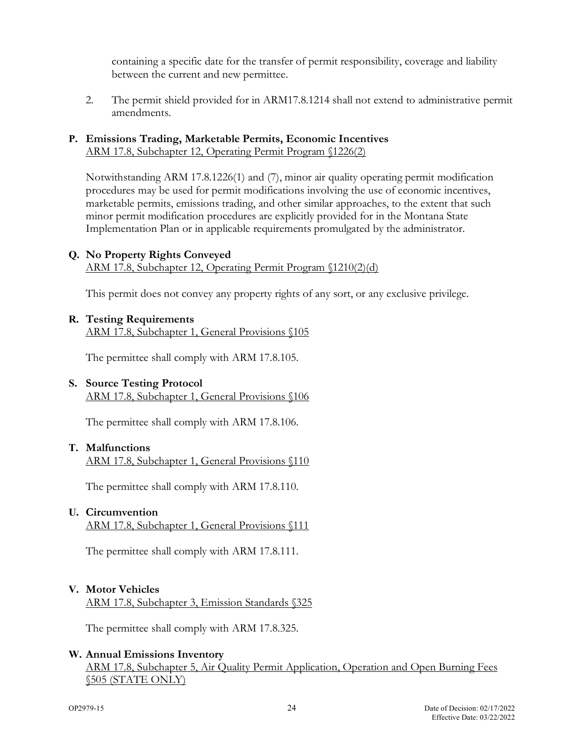containing a specific date for the transfer of permit responsibility, coverage and liability between the current and new permittee.

2. The permit shield provided for in ARM17.8.1214 shall not extend to administrative permit amendments.

#### **P. Emissions Trading, Marketable Permits, Economic Incentives** ARM 17.8, Subchapter 12, Operating Permit Program §1226(2)

Notwithstanding ARM 17.8.1226(1) and (7), minor air quality operating permit modification procedures may be used for permit modifications involving the use of economic incentives, marketable permits, emissions trading, and other similar approaches, to the extent that such minor permit modification procedures are explicitly provided for in the Montana State Implementation Plan or in applicable requirements promulgated by the administrator.

#### **Q. No Property Rights Conveyed**

ARM 17.8, Subchapter 12, Operating Permit Program §1210(2)(d)

This permit does not convey any property rights of any sort, or any exclusive privilege.

#### **R. Testing Requirements**

ARM 17.8, Subchapter 1, General Provisions §105

The permittee shall comply with ARM 17.8.105.

#### **S. Source Testing Protocol**

ARM 17.8, Subchapter 1, General Provisions §106

The permittee shall comply with ARM 17.8.106.

#### **T. Malfunctions** ARM 17.8, Subchapter 1, General Provisions §110

The permittee shall comply with ARM 17.8.110.

#### **U. Circumvention**

ARM 17.8, Subchapter 1, General Provisions §111

The permittee shall comply with ARM 17.8.111.

#### **V. Motor Vehicles**

ARM 17.8, Subchapter 3, Emission Standards §325

The permittee shall comply with ARM 17.8.325.

#### **W. Annual Emissions Inventory**

ARM 17.8, Subchapter 5, Air Quality Permit Application, Operation and Open Burning Fees <u>§505 (STATE ONLY)</u>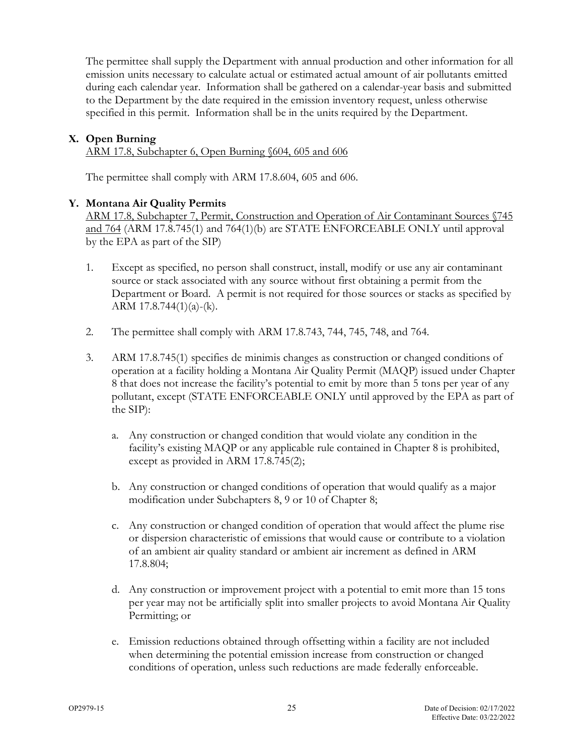The permittee shall supply the Department with annual production and other information for all emission units necessary to calculate actual or estimated actual amount of air pollutants emitted during each calendar year. Information shall be gathered on a calendar-year basis and submitted to the Department by the date required in the emission inventory request, unless otherwise specified in this permit. Information shall be in the units required by the Department.

# **X. Open Burning**

ARM 17.8, Subchapter 6, Open Burning §604, 605 and 606

The permittee shall comply with ARM 17.8.604, 605 and 606.

#### **Y. Montana Air Quality Permits**

ARM 17.8, Subchapter 7, Permit, Construction and Operation of Air Contaminant Sources §745 and 764 (ARM 17.8.745(1) and 764(1)(b) are STATE ENFORCEABLE ONLY until approval by the EPA as part of the SIP)

- 1. Except as specified, no person shall construct, install, modify or use any air contaminant source or stack associated with any source without first obtaining a permit from the Department or Board. A permit is not required for those sources or stacks as specified by ARM  $17.8.744(1)(a)-(k)$ .
- 2. The permittee shall comply with ARM 17.8.743, 744, 745, 748, and 764.
- 3. ARM 17.8.745(1) specifies de minimis changes as construction or changed conditions of operation at a facility holding a Montana Air Quality Permit (MAQP) issued under Chapter 8 that does not increase the facility's potential to emit by more than 5 tons per year of any pollutant, except (STATE ENFORCEABLE ONLY until approved by the EPA as part of the SIP):
	- a. Any construction or changed condition that would violate any condition in the facility's existing MAQP or any applicable rule contained in Chapter 8 is prohibited, except as provided in ARM 17.8.745(2);
	- b. Any construction or changed conditions of operation that would qualify as a major modification under Subchapters 8, 9 or 10 of Chapter 8;
	- c. Any construction or changed condition of operation that would affect the plume rise or dispersion characteristic of emissions that would cause or contribute to a violation of an ambient air quality standard or ambient air increment as defined in ARM 17.8.804;
	- d. Any construction or improvement project with a potential to emit more than 15 tons per year may not be artificially split into smaller projects to avoid Montana Air Quality Permitting; or
	- e. Emission reductions obtained through offsetting within a facility are not included when determining the potential emission increase from construction or changed conditions of operation, unless such reductions are made federally enforceable.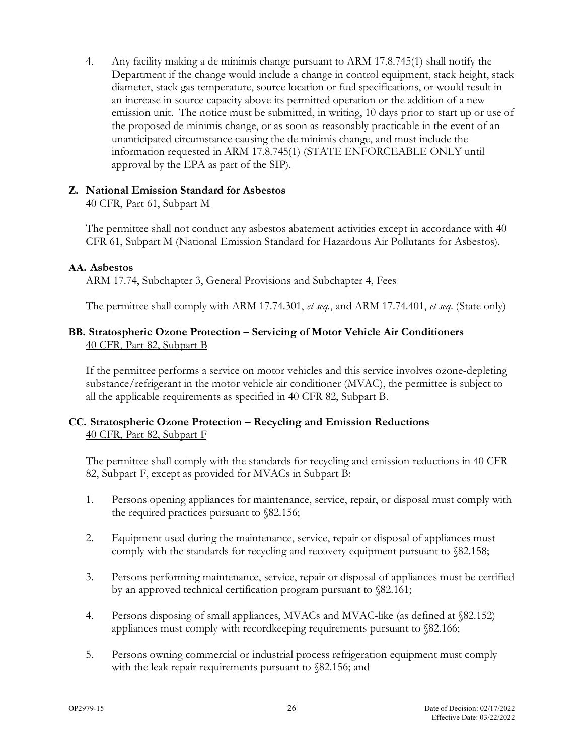4. Any facility making a de minimis change pursuant to ARM 17.8.745(1) shall notify the Department if the change would include a change in control equipment, stack height, stack diameter, stack gas temperature, source location or fuel specifications, or would result in an increase in source capacity above its permitted operation or the addition of a new emission unit. The notice must be submitted, in writing, 10 days prior to start up or use of the proposed de minimis change, or as soon as reasonably practicable in the event of an unanticipated circumstance causing the de minimis change, and must include the information requested in ARM 17.8.745(1) (STATE ENFORCEABLE ONLY until approval by the EPA as part of the SIP).

#### **Z. National Emission Standard for Asbestos** 40 CFR, Part 61, Subpart M

The permittee shall not conduct any asbestos abatement activities except in accordance with 40 CFR 61, Subpart M (National Emission Standard for Hazardous Air Pollutants for Asbestos).

#### **AA. Asbestos**

ARM 17.74, Subchapter 3, General Provisions and Subchapter 4, Fees

The permittee shall comply with ARM 17.74.301, *et seq.*, and ARM 17.74.401, *et seq*. (State only)

#### **BB. Stratospheric Ozone Protection – Servicing of Motor Vehicle Air Conditioners** 40 CFR, Part 82, Subpart B

If the permittee performs a service on motor vehicles and this service involves ozone-depleting substance/refrigerant in the motor vehicle air conditioner (MVAC), the permittee is subject to all the applicable requirements as specified in 40 CFR 82, Subpart B.

#### **CC. Stratospheric Ozone Protection – Recycling and Emission Reductions** 40 CFR, Part 82, Subpart F

The permittee shall comply with the standards for recycling and emission reductions in 40 CFR 82, Subpart F, except as provided for MVACs in Subpart B:

- 1. Persons opening appliances for maintenance, service, repair, or disposal must comply with the required practices pursuant to §82.156;
- 2. Equipment used during the maintenance, service, repair or disposal of appliances must comply with the standards for recycling and recovery equipment pursuant to §82.158;
- 3. Persons performing maintenance, service, repair or disposal of appliances must be certified by an approved technical certification program pursuant to §82.161;
- 4. Persons disposing of small appliances, MVACs and MVAC-like (as defined at §82.152) appliances must comply with recordkeeping requirements pursuant to §82.166;
- 5. Persons owning commercial or industrial process refrigeration equipment must comply with the leak repair requirements pursuant to §82.156; and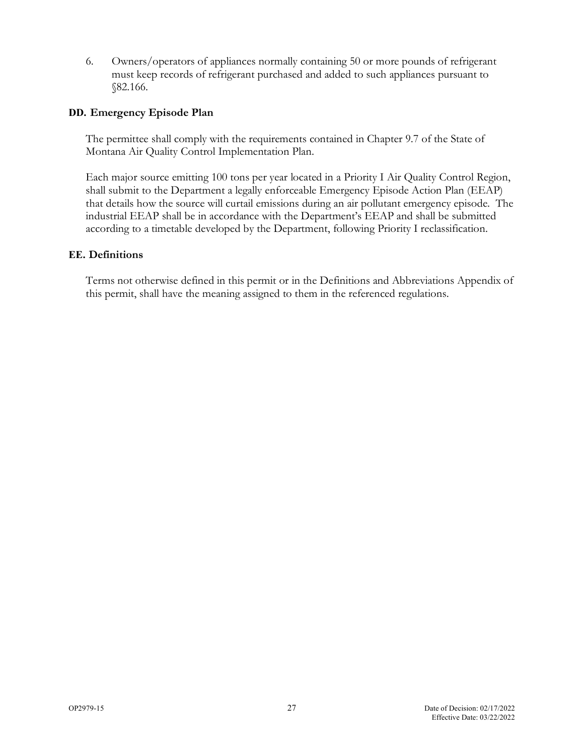6. Owners/operators of appliances normally containing 50 or more pounds of refrigerant must keep records of refrigerant purchased and added to such appliances pursuant to §82.166.

#### **DD. Emergency Episode Plan**

The permittee shall comply with the requirements contained in Chapter 9.7 of the State of Montana Air Quality Control Implementation Plan.

Each major source emitting 100 tons per year located in a Priority I Air Quality Control Region, shall submit to the Department a legally enforceable Emergency Episode Action Plan (EEAP) that details how the source will curtail emissions during an air pollutant emergency episode. The industrial EEAP shall be in accordance with the Department's EEAP and shall be submitted according to a timetable developed by the Department, following Priority I reclassification.

#### **EE. Definitions**

Terms not otherwise defined in this permit or in the Definitions and Abbreviations Appendix of this permit, shall have the meaning assigned to them in the referenced regulations.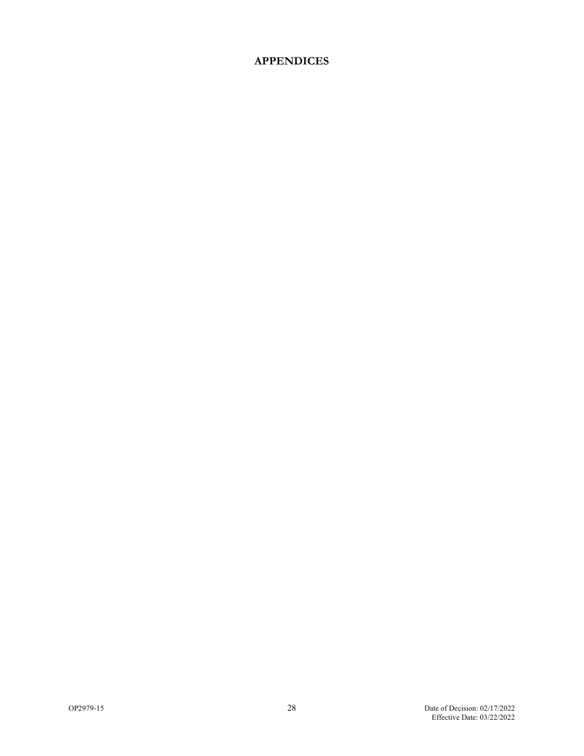# **APPENDICES**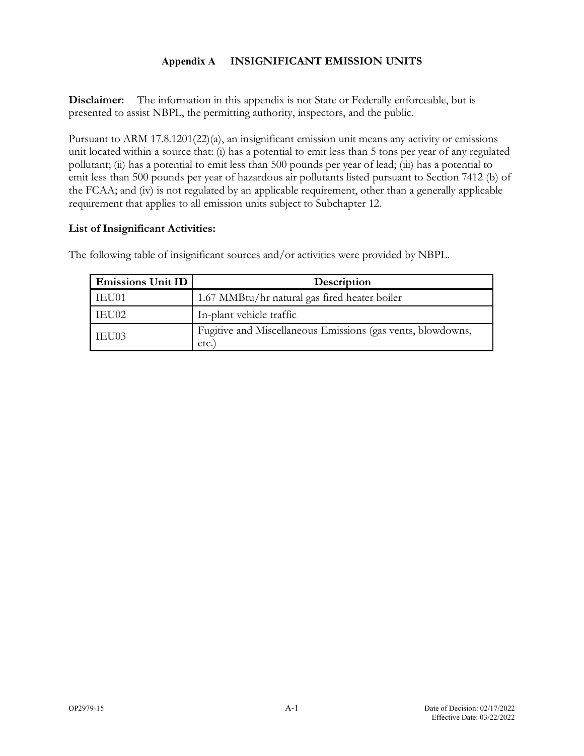#### **Appendix A INSIGNIFICANT EMISSION UNITS**

<span id="page-31-0"></span>**Disclaimer:** The information in this appendix is not State or Federally enforceable, but is presented to assist NBPL, the permitting authority, inspectors, and the public.

Pursuant to ARM 17.8.1201(22)(a), an insignificant emission unit means any activity or emissions unit located within a source that: (i) has a potential to emit less than 5 tons per year of any regulated pollutant; (ii) has a potential to emit less than 500 pounds per year of lead; (iii) has a potential to emit less than 500 pounds per year of hazardous air pollutants listed pursuant to Section 7412 (b) of the FCAA; and (iv) is not regulated by an applicable requirement, other than a generally applicable requirement that applies to all emission units subject to Subchapter 12.

#### **List of Insignificant Activities:**

| <b>Emissions Unit ID</b> | Description                                                         |
|--------------------------|---------------------------------------------------------------------|
| IEU01                    | 1.67 MMBtu/hr natural gas fired heater boiler                       |
| IEU02                    | In-plant vehicle traffic                                            |
| IEU03                    | Fugitive and Miscellaneous Emissions (gas vents, blowdowns,<br>etc. |

The following table of insignificant sources and/or activities were provided by NBPL.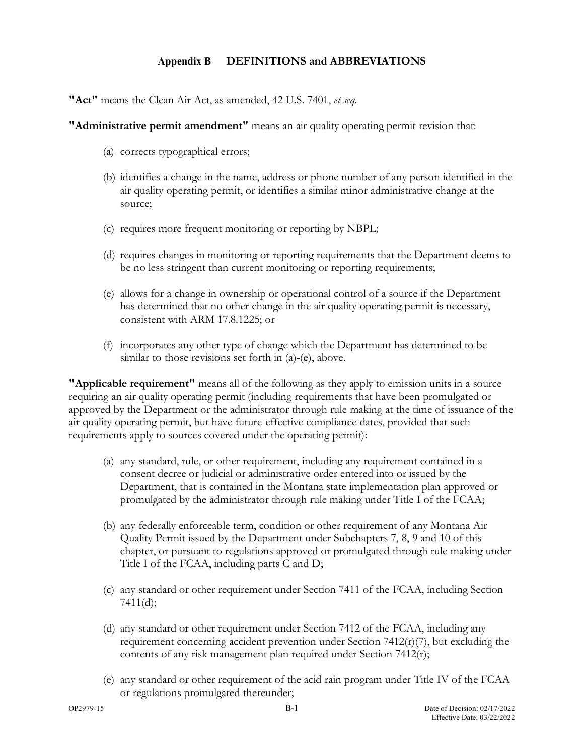#### **Appendix B DEFINITIONS and ABBREVIATIONS**

**"Act"** means the Clean Air Act, as amended, 42 U.S. 7401, *et seq*.

**"Administrative permit amendment"** means an air quality operating permit revision that:

- (a) corrects typographical errors;
- (b) identifies a change in the name, address or phone number of any person identified in the air quality operating permit, or identifies a similar minor administrative change at the source;
- (c) requires more frequent monitoring or reporting by NBPL;
- (d) requires changes in monitoring or reporting requirements that the Department deems to be no less stringent than current monitoring or reporting requirements;
- (e) allows for a change in ownership or operational control of a source if the Department has determined that no other change in the air quality operating permit is necessary, consistent with ARM 17.8.1225; or
- (f) incorporates any other type of change which the Department has determined to be similar to those revisions set forth in (a)-(e), above.

**"Applicable requirement"** means all of the following as they apply to emission units in a source requiring an air quality operating permit (including requirements that have been promulgated or approved by the Department or the administrator through rule making at the time of issuance of the air quality operating permit, but have future-effective compliance dates, provided that such requirements apply to sources covered under the operating permit):

- (a) any standard, rule, or other requirement, including any requirement contained in a consent decree or judicial or administrative order entered into or issued by the Department, that is contained in the Montana state implementation plan approved or promulgated by the administrator through rule making under Title I of the FCAA;
- (b) any federally enforceable term, condition or other requirement of any Montana Air Quality Permit issued by the Department under Subchapters 7, 8, 9 and 10 of this chapter, or pursuant to regulations approved or promulgated through rule making under Title I of the FCAA, including parts C and D;
- (c) any standard or other requirement under Section 7411 of the FCAA, including Section 7411(d);
- (d) any standard or other requirement under Section 7412 of the FCAA, including any requirement concerning accident prevention under Section  $7412(r)(7)$ , but excluding the contents of any risk management plan required under Section 7412(r);
- (e) any standard or other requirement of the acid rain program under Title IV of the FCAA or regulations promulgated thereunder;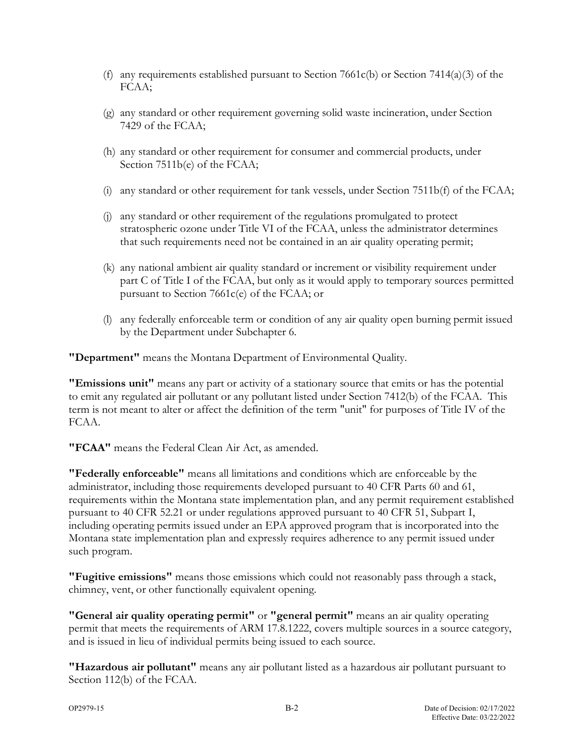- (f) any requirements established pursuant to Section 7661c(b) or Section 7414(a)(3) of the FCAA;
- (g) any standard or other requirement governing solid waste incineration, under Section 7429 of the FCAA;
- (h) any standard or other requirement for consumer and commercial products, under Section 7511b(e) of the FCAA;
- (i) any standard or other requirement for tank vessels, under Section 7511b(f) of the FCAA;
- (j) any standard or other requirement of the regulations promulgated to protect stratospheric ozone under Title VI of the FCAA, unless the administrator determines that such requirements need not be contained in an air quality operating permit;
- (k) any national ambient air quality standard or increment or visibility requirement under part C of Title I of the FCAA, but only as it would apply to temporary sources permitted pursuant to Section 7661c(e) of the FCAA; or
- (l) any federally enforceable term or condition of any air quality open burning permit issued by the Department under Subchapter 6.

**"Department"** means the Montana Department of Environmental Quality.

**"Emissions unit"** means any part or activity of a stationary source that emits or has the potential to emit any regulated air pollutant or any pollutant listed under Section 7412(b) of the FCAA. This term is not meant to alter or affect the definition of the term "unit" for purposes of Title IV of the FCAA.

**"FCAA"** means the Federal Clean Air Act, as amended.

**"Federally enforceable"** means all limitations and conditions which are enforceable by the administrator, including those requirements developed pursuant to 40 CFR Parts 60 and 61, requirements within the Montana state implementation plan, and any permit requirement established pursuant to 40 CFR 52.21 or under regulations approved pursuant to 40 CFR 51, Subpart I, including operating permits issued under an EPA approved program that is incorporated into the Montana state implementation plan and expressly requires adherence to any permit issued under such program.

**"Fugitive emissions"** means those emissions which could not reasonably pass through a stack, chimney, vent, or other functionally equivalent opening.

**"General air quality operating permit"** or **"general permit"** means an air quality operating permit that meets the requirements of ARM 17.8.1222, covers multiple sources in a source category, and is issued in lieu of individual permits being issued to each source.

**"Hazardous air pollutant"** means any air pollutant listed as a hazardous air pollutant pursuant to Section 112(b) of the FCAA.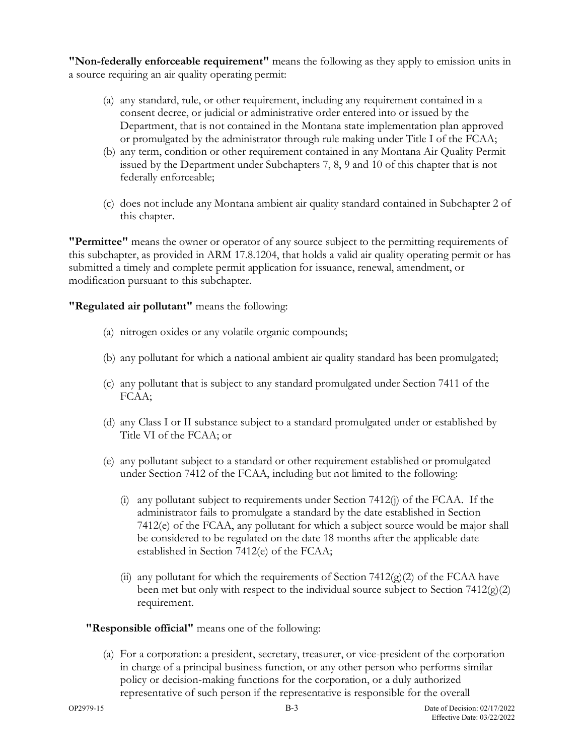**"Non-federally enforceable requirement"** means the following as they apply to emission units in a source requiring an air quality operating permit:

- (a) any standard, rule, or other requirement, including any requirement contained in a consent decree, or judicial or administrative order entered into or issued by the Department, that is not contained in the Montana state implementation plan approved or promulgated by the administrator through rule making under Title I of the FCAA;
- (b) any term, condition or other requirement contained in any Montana Air Quality Permit issued by the Department under Subchapters 7, 8, 9 and 10 of this chapter that is not federally enforceable;
- (c) does not include any Montana ambient air quality standard contained in Subchapter 2 of this chapter.

**"Permittee"** means the owner or operator of any source subject to the permitting requirements of this subchapter, as provided in ARM 17.8.1204, that holds a valid air quality operating permit or has submitted a timely and complete permit application for issuance, renewal, amendment, or modification pursuant to this subchapter.

**"Regulated air pollutant"** means the following:

- (a) nitrogen oxides or any volatile organic compounds;
- (b) any pollutant for which a national ambient air quality standard has been promulgated;
- (c) any pollutant that is subject to any standard promulgated under Section 7411 of the FCAA;
- (d) any Class I or II substance subject to a standard promulgated under or established by Title VI of the FCAA; or
- (e) any pollutant subject to a standard or other requirement established or promulgated under Section 7412 of the FCAA, including but not limited to the following:
	- (i) any pollutant subject to requirements under Section  $7412(i)$  of the FCAA. If the administrator fails to promulgate a standard by the date established in Section 7412(e) of the FCAA, any pollutant for which a subject source would be major shall be considered to be regulated on the date 18 months after the applicable date established in Section 7412(e) of the FCAA;
	- (ii) any pollutant for which the requirements of Section  $7412(g)(2)$  of the FCAA have been met but only with respect to the individual source subject to Section  $7412(g)(2)$ requirement.

**"Responsible official"** means one of the following:

(a) For a corporation: a president, secretary, treasurer, or vice-president of the corporation in charge of a principal business function, or any other person who performs similar policy or decision-making functions for the corporation, or a duly authorized representative of such person if the representative is responsible for the overall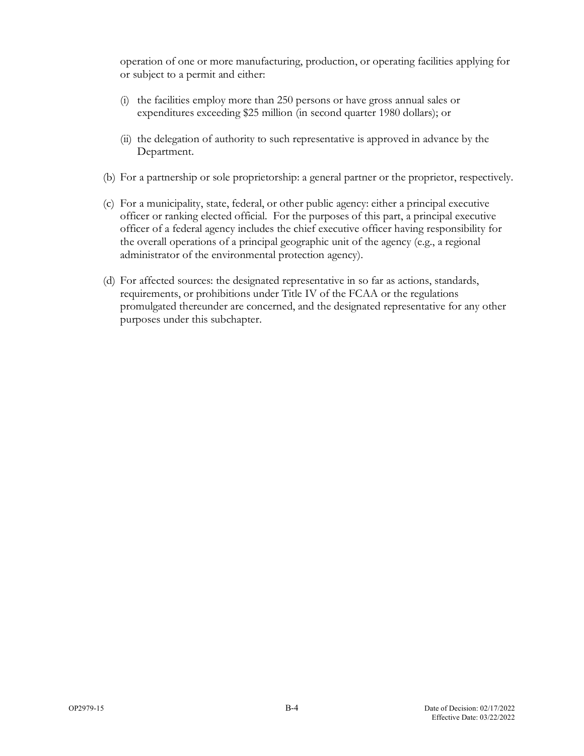operation of one or more manufacturing, production, or operating facilities applying for or subject to a permit and either:

- (i) the facilities employ more than 250 persons or have gross annual sales or expenditures exceeding \$25 million (in second quarter 1980 dollars); or
- (ii) the delegation of authority to such representative is approved in advance by the Department.
- (b) For a partnership or sole proprietorship: a general partner or the proprietor, respectively.
- (c) For a municipality, state, federal, or other public agency: either a principal executive officer or ranking elected official. For the purposes of this part, a principal executive officer of a federal agency includes the chief executive officer having responsibility for the overall operations of a principal geographic unit of the agency (e.g., a regional administrator of the environmental protection agency).
- (d) For affected sources: the designated representative in so far as actions, standards, requirements, or prohibitions under Title IV of the FCAA or the regulations promulgated thereunder are concerned, and the designated representative for any other purposes under this subchapter.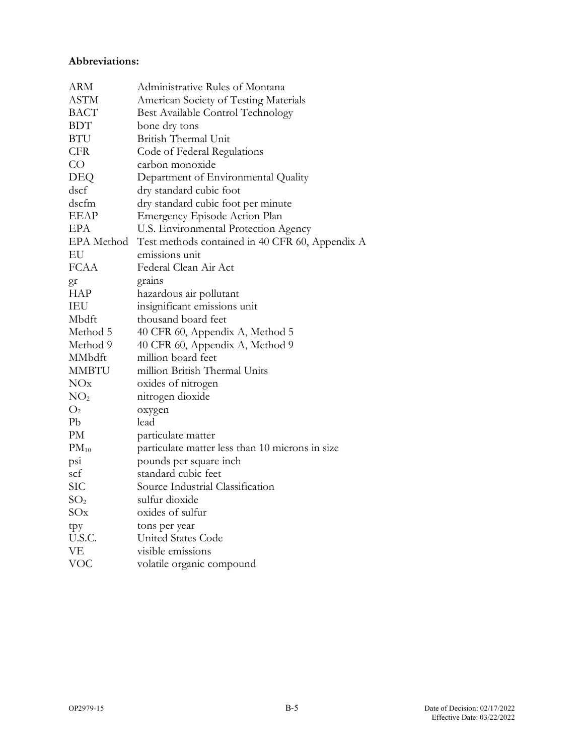#### **Abbreviations:**

| <b>ARM</b>      | Administrative Rules of Montana                 |
|-----------------|-------------------------------------------------|
| <b>ASTM</b>     | American Society of Testing Materials           |
| <b>BACT</b>     | Best Available Control Technology               |
| <b>BDT</b>      | bone dry tons                                   |
| <b>BTU</b>      | British Thermal Unit                            |
| <b>CFR</b>      | Code of Federal Regulations                     |
| CO              | carbon monoxide                                 |
| DEQ             | Department of Environmental Quality             |
| dscf            | dry standard cubic foot                         |
| dscfm           | dry standard cubic foot per minute              |
| <b>EEAP</b>     | Emergency Episode Action Plan                   |
| EPA             | U.S. Environmental Protection Agency            |
| EPA Method      | Test methods contained in 40 CFR 60, Appendix A |
| EU              | emissions unit                                  |
| <b>FCAA</b>     | Federal Clean Air Act                           |
| gr              | grains                                          |
| <b>HAP</b>      | hazardous air pollutant                         |
| <b>IEU</b>      | insignificant emissions unit                    |
| Mbdft           | thousand board feet                             |
| Method 5        | 40 CFR 60, Appendix A, Method 5                 |
| Method 9        | 40 CFR 60, Appendix A, Method 9                 |
| MMbdft          | million board feet                              |
| <b>MMBTU</b>    | million British Thermal Units                   |
| NOx             | oxides of nitrogen                              |
| NO <sub>2</sub> | nitrogen dioxide                                |
| O <sub>2</sub>  | oxygen                                          |
| Pb              | lead                                            |
| PM              | particulate matter                              |
| $PM_{10}$       | particulate matter less than 10 microns in size |
| psi             | pounds per square inch                          |
| sct             | standard cubic feet                             |
| <b>SIC</b>      | Source Industrial Classification                |
| SO <sub>2</sub> | sulfur dioxide                                  |
| SOx             | oxides of sulfur                                |
| tpy             | tons per year                                   |
| U.S.C.          | <b>United States Code</b>                       |
| VE              | visible emissions                               |
| <b>VOC</b>      | volatile organic compound                       |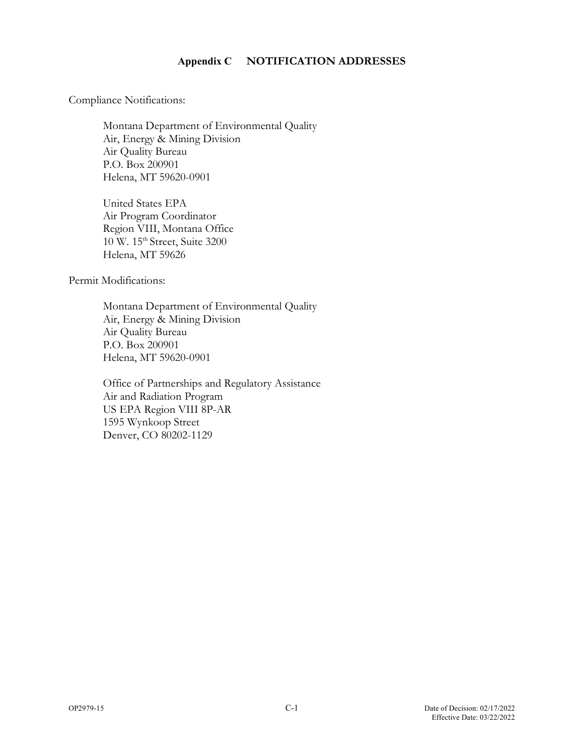#### **Appendix C NOTIFICATION ADDRESSES**

Compliance Notifications:

Montana Department of Environmental Quality Air, Energy & Mining Division Air Quality Bureau P.O. Box 200901 Helena, MT 59620-0901

United States EPA Air Program Coordinator Region VIII, Montana Office 10 W. 15<sup>th</sup> Street, Suite 3200 Helena, MT 59626

Permit Modifications:

Montana Department of Environmental Quality Air, Energy & Mining Division Air Quality Bureau P.O. Box 200901 Helena, MT 59620-0901

Office of Partnerships and Regulatory Assistance Air and Radiation Program US EPA Region VIII 8P-AR 1595 Wynkoop Street Denver, CO 80202-1129